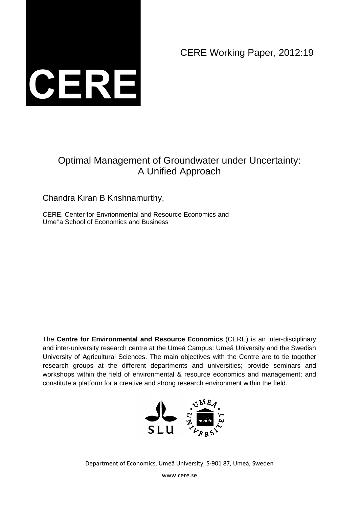CERE

CERE Working Paper, 2012:19

# Optimal Management of Groundwater under Uncertainty: A Unified Approach

# Chandra Kiran B Krishnamurthy,

CERE, Center for Envrionmental and Resource Economics and Ume°a School of Economics and Business

The **Centre for Environmental and Resource Economics** (CERE) is an inter‐disciplinary and inter‐university research centre at the Umeå Campus: Umeå University and the Swedish University of Agricultural Sciences. The main objectives with the Centre are to tie together research groups at the different departments and universities; provide seminars and workshops within the field of environmental & resource economics and management; and constitute a platform for a creative and strong research environment within the field.



Department of Economics, Umeå University, S-901 87, Umeå, Sweden

www.cere.se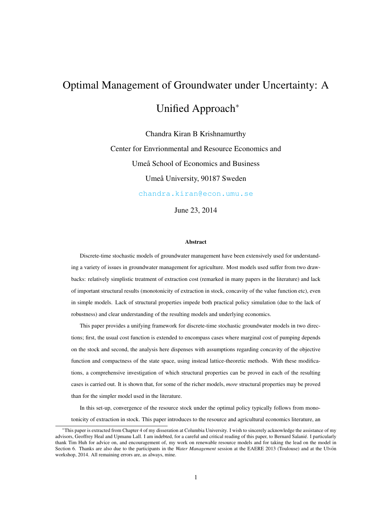# Optimal Management of Groundwater under Uncertainty: A Unified Approach<sup>∗</sup>

Chandra Kiran B Krishnamurthy Center for Envrionmental and Resource Economics and Umeå School of Economics and Business Umeå University, 90187 Sweden [chandra.kiran@econ.umu.se](mailto:chandra.kiran@econ.umu.se)

June 23, 2014

#### Abstract

Discrete-time stochastic models of groundwater management have been extensively used for understanding a variety of issues in groundwater management for agriculture. Most models used suffer from two drawbacks: relatively simplistic treatment of extraction cost (remarked in many papers in the literature) and lack of important structural results (monotonicity of extraction in stock, concavity of the value function etc), even in simple models. Lack of structural properties impede both practical policy simulation (due to the lack of robustness) and clear understanding of the resulting models and underlying economics.

This paper provides a unifying framework for discrete-time stochastic groundwater models in two directions; first, the usual cost function is extended to encompass cases where marginal cost of pumping depends on the stock and second, the analysis here dispenses with assumptions regarding concavity of the objective function and compactness of the state space, using instead lattice-theoretic methods. With these modifications, a comprehensive investigation of which structural properties can be proved in each of the resulting cases is carried out. It is shown that, for some of the richer models, *more* structural properties may be proved than for the simpler model used in the literature.

In this set-up, convergence of the resource stock under the optimal policy typically follows from monotonicity of extraction in stock. This paper introduces to the resource and agricultural economics literature, an

<sup>∗</sup>This paper is extracted from Chapter 4 of my disseration at Columbia University. I wish to sincerely acknowledge the assistance of my advisors, Geoffrey Heal and Upmanu Lall. I am indebted, for a careful and critical reading of this paper, to Bernard Salanie. I particularly ´ thank Tim Huh for advice on, and encouragement of, my work on renewable resource models and for taking the lead on the model in Section 6. Thanks are also due to the participants in the *Water Management* session at the EAERE 2013 (Toulouse) and at the Ulvön workshop, 2014. All remaining errors are, as always, mine.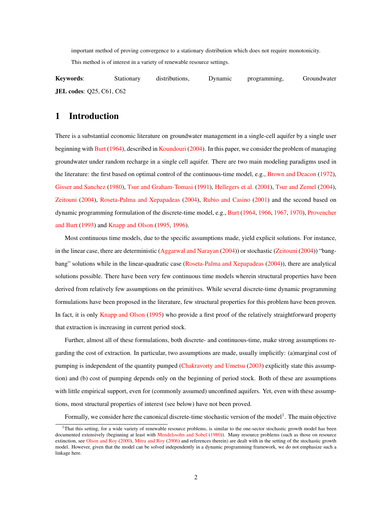important method of proving convergence to a stationary distribution which does not require monotonicity. This method is of interest in a variety of renewable resource settings.

Keywords: Stationary distributions, Dynamic programming, Groundwater JEL codes: Q25, C61, C62

## 1 Introduction

There is a substantial economic literature on groundwater management in a single-cell aquifer by a single user beginning with [Burt](#page-32-0) [\(1964\)](#page-32-0), described in [Koundouri](#page-33-0) [\(2004\)](#page-33-0). In this paper, we consider the problem of managing groundwater under random recharge in a single cell aquifer. There are two main modeling paradigms used in the literature: the first based on optimal control of the continuous-time model, e.g., [Brown and Deacon](#page-32-1) [\(1972\)](#page-32-1), [Gisser and Sanchez](#page-33-1) [\(1980\)](#page-33-1), [Tsur and Graham-Tomasi](#page-35-0) [\(1991\)](#page-35-0), [Hellegers et al.](#page-33-2) [\(2001\)](#page-33-2), [Tsur and Zemel](#page-35-1) [\(2004\)](#page-35-1), [Zeitouni](#page-35-2) [\(2004\)](#page-35-2), [Roseta-Palma and Xepapadeas](#page-34-0) [\(2004\)](#page-34-0), [Rubio and Casino](#page-34-1) [\(2001\)](#page-34-1) and the second based on dynamic programming formulation of the discrete-time model, e.g., [Burt](#page-32-0) [\(1964,](#page-32-0) [1966,](#page-32-2) [1967,](#page-32-3) [1970\)](#page-32-4), [Provencher](#page-34-2) [and Burt](#page-34-2) [\(1993\)](#page-34-2) and [Knapp and Olson](#page-33-3) [\(1995,](#page-33-3) [1996\)](#page-33-4).

Most continuous time models, due to the specific assumptions made, yield explicit solutions. For instance, in the linear case, there are deterministic [\(Aggarwal and Narayan](#page-32-5) [\(2004\)](#page-32-5)) or stochastic [\(Zeitouni](#page-35-2) [\(2004\)](#page-35-2)) "bangbang" solutions while in the linear-quadratic case [\(Roseta-Palma and Xepapadeas](#page-34-0) [\(2004\)](#page-34-0)), there are analytical solutions possible. There have been very few continuous time models wherein structural properties have been derived from relatively few assumptions on the primitives. While several discrete-time dynamic programming formulations have been proposed in the literature, few structural properties for this problem have been proven. In fact, it is only [Knapp and Olson](#page-33-3) [\(1995\)](#page-33-3) who provide a first proof of the relatively straightforward property that extraction is increasing in current period stock.

Further, almost all of these formulations, both discrete- and continuous-time, make strong assumptions regarding the cost of extraction. In particular, two assumptions are made, usually implicitly: (a)marginal cost of pumping is independent of the quantity pumped [\(Chakravorty and Umetsu](#page-32-6) [\(2003\)](#page-32-6) explicitly state this assumption) and (b) cost of pumping depends only on the beginning of period stock. Both of these are assumptions with little empirical support, even for (commonly assumed) unconfined aquifers. Yet, even with these assumptions, most structural properties of interest (see below) have not been proved.

Formally, we consider here the canonical discrete-time stochastic version of the model<sup>[1](#page-2-0)</sup>. The main objective

<span id="page-2-0"></span><sup>&</sup>lt;sup>1</sup>That this setting, for a wide variety of renewable resource problems, is similar to the one-sector stochastic growth model has been documented extensively (beginning at least with [Mendelssohn and Sobel](#page-33-5) [\(1980\)](#page-33-5)). Many resource problems (such as those on resource extinction, see [Olson and Roy](#page-34-3) [\(2000\)](#page-34-3), [Mitra and Roy](#page-34-4) [\(2006\)](#page-34-4) and references therein) are dealt with in the setting of the stochastic growth model. However, given that the model can be solved independently in a dynamic programming framework, we do not emphasize such a linkage here.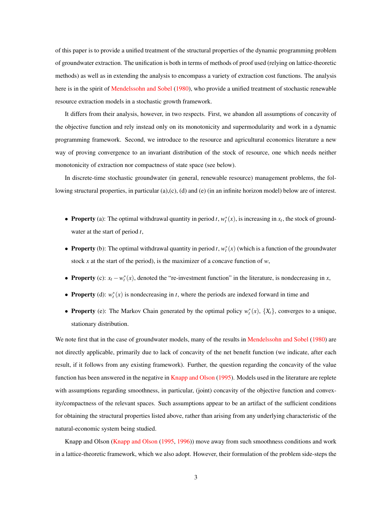of this paper is to provide a unified treatment of the structural properties of the dynamic programming problem of groundwater extraction. The unification is both in terms of methods of proof used (relying on lattice-theoretic methods) as well as in extending the analysis to encompass a variety of extraction cost functions. The analysis here is in the spirit of [Mendelssohn and Sobel](#page-33-5) [\(1980\)](#page-33-5), who provide a unified treatment of stochastic renewable resource extraction models in a stochastic growth framework.

It differs from their analysis, however, in two respects. First, we abandon all assumptions of concavity of the objective function and rely instead only on its monotonicity and supermodularity and work in a dynamic programming framework. Second, we introduce to the resource and agricultural economics literature a new way of proving convergence to an invariant distribution of the stock of resource, one which needs neither monotonicity of extraction nor compactness of state space (see below).

In discrete-time stochastic groundwater (in general, renewable resource) management problems, the following structural properties, in particular (a),(c), (d) and (e) (in an infinite horizon model) below are of interest.

- Property (a): The optimal withdrawal quantity in period *t*,  $w_t^*(x)$ , is increasing in  $x_t$ , the stock of groundwater at the start of period *t*,
- Property (b): The optimal withdrawal quantity in period  $t$ ,  $w_t^*(x)$  (which is a function of the groundwater stock *x* at the start of the period), is the maximizer of a concave function of *w*,
- **Property** (c):  $x_t w_t^*(x)$ , denoted the "re-investment function" in the literature, is nondecreasing in *x*,
- **Property** (d):  $w_t^*(x)$  is nondecreasing in *t*, where the periods are indexed forward in time and
- Property (e): The Markov Chain generated by the optimal policy  $w_t^*(x)$ ,  $\{X_t\}$ , converges to a unique, stationary distribution.

We note first that in the case of groundwater models, many of the results in [Mendelssohn and Sobel](#page-33-5) [\(1980\)](#page-33-5) are not directly applicable, primarily due to lack of concavity of the net benefit function (we indicate, after each result, if it follows from any existing framework). Further, the question regarding the concavity of the value function has been answered in the negative in [Knapp and Olson](#page-33-3) [\(1995\)](#page-33-3). Models used in the literature are replete with assumptions regarding smoothness, in particular, (joint) concavity of the objective function and convexity/compactness of the relevant spaces. Such assumptions appear to be an artifact of the sufficient conditions for obtaining the structural properties listed above, rather than arising from any underlying characteristic of the natural-economic system being studied.

Knapp and Olson [\(Knapp and Olson](#page-33-3) [\(1995,](#page-33-3) [1996\)](#page-33-4)) move away from such smoothness conditions and work in a lattice-theoretic framework, which we also adopt. However, their formulation of the problem side-steps the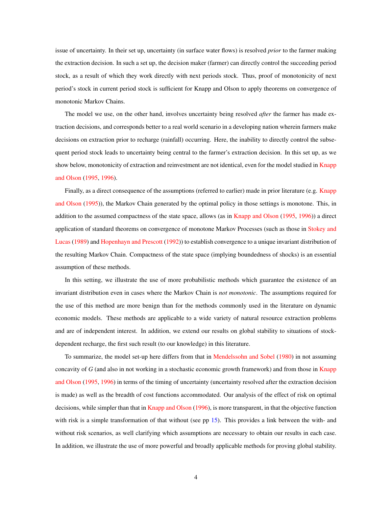issue of uncertainty. In their set up, uncertainty (in surface water flows) is resolved *prior* to the farmer making the extraction decision. In such a set up, the decision maker (farmer) can directly control the succeeding period stock, as a result of which they work directly with next periods stock. Thus, proof of monotonicity of next period's stock in current period stock is sufficient for Knapp and Olson to apply theorems on convergence of monotonic Markov Chains.

The model we use, on the other hand, involves uncertainty being resolved *after* the farmer has made extraction decisions, and corresponds better to a real world scenario in a developing nation wherein farmers make decisions on extraction prior to recharge (rainfall) occurring. Here, the inability to directly control the subsequent period stock leads to uncertainty being central to the farmer's extraction decision. In this set up, as we show below, monotonicity of extraction and reinvestment are not identical, even for the model studied in [Knapp](#page-33-3) [and Olson](#page-33-3) [\(1995,](#page-33-3) [1996\)](#page-33-4).

Finally, as a direct consequence of the assumptions (referred to earlier) made in prior literature (e.g. [Knapp](#page-33-3) [and Olson](#page-33-3) [\(1995\)](#page-33-3)), the Markov Chain generated by the optimal policy in those settings is monotone. This, in addition to the assumed compactness of the state space, allows (as in [Knapp and Olson](#page-33-3) [\(1995,](#page-33-3) [1996\)](#page-33-4)) a direct application of standard theorems on convergence of monotone Markov Processes (such as those in [Stokey and](#page-35-3) [Lucas](#page-35-3) [\(1989\)](#page-35-3) and [Hopenhayn and Prescott](#page-33-6) [\(1992\)](#page-33-6)) to establish convergence to a unique invariant distribution of the resulting Markov Chain. Compactness of the state space (implying boundedness of shocks) is an essential assumption of these methods.

In this setting, we illustrate the use of more probabilistic methods which guarantee the existence of an invariant distribution even in cases where the Markov Chain is *not monotonic*. The assumptions required for the use of this method are more benign than for the methods commonly used in the literature on dynamic economic models. These methods are applicable to a wide variety of natural resource extraction problems and are of independent interest. In addition, we extend our results on global stability to situations of stockdependent recharge, the first such result (to our knowledge) in this literature.

To summarize, the model set-up here differs from that in [Mendelssohn and Sobel](#page-33-5) [\(1980\)](#page-33-5) in not assuming concavity of *G* (and also in not working in a stochastic economic growth framework) and from those in [Knapp](#page-33-3) [and Olson](#page-33-3) [\(1995,](#page-33-3) [1996\)](#page-33-4) in terms of the timing of uncertainty (uncertainty resolved after the extraction decision is made) as well as the breadth of cost functions accommodated. Our analysis of the effect of risk on optimal decisions, while simpler than that in [Knapp and Olson](#page-33-4) [\(1996\)](#page-33-4), is more transparent, in that the objective function with risk is a simple transformation of that without (see pp [15\)](#page-15-0). This provides a link between the with- and without risk scenarios, as well clarifying which assumptions are necessary to obtain our results in each case. In addition, we illustrate the use of more powerful and broadly applicable methods for proving global stability.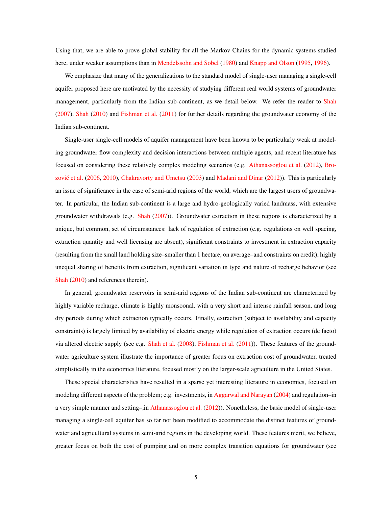Using that, we are able to prove global stability for all the Markov Chains for the dynamic systems studied here, under weaker assumptions than in [Mendelssohn and Sobel](#page-33-5) [\(1980\)](#page-33-5) and [Knapp and Olson](#page-33-3) [\(1995,](#page-33-3) [1996\)](#page-33-4).

We emphasize that many of the generalizations to the standard model of single-user managing a single-cell aquifer proposed here are motivated by the necessity of studying different real world systems of groundwater management, particularly from the Indian sub-continent, as we detail below. We refer the reader to [Shah](#page-34-5) [\(2007\)](#page-34-5), [Shah](#page-34-6) [\(2010\)](#page-34-6) and [Fishman et al.](#page-32-7) [\(2011\)](#page-32-7) for further details regarding the groundwater economy of the Indian sub-continent.

Single-user single-cell models of aquifer management have been known to be particularly weak at modeling groundwater flow complexity and decision interactions between multiple agents, and recent literature has focused on considering these relatively complex modeling scenarios (e.g. [Athanassoglou et al.](#page-32-8) [\(2012\)](#page-32-8), [Bro-](#page-32-9)zović et al. [\(2006,](#page-32-9) [2010\)](#page-32-10), [Chakravorty and Umetsu](#page-32-6) [\(2003\)](#page-32-6) and [Madani and Dinar](#page-33-7) [\(2012\)](#page-33-7)). This is particularly an issue of significance in the case of semi-arid regions of the world, which are the largest users of groundwater. In particular, the Indian sub-continent is a large and hydro-geologically varied landmass, with extensive groundwater withdrawals (e.g. [Shah](#page-34-5) [\(2007\)](#page-34-5)). Groundwater extraction in these regions is characterized by a unique, but common, set of circumstances: lack of regulation of extraction (e.g. regulations on well spacing, extraction quantity and well licensing are absent), significant constraints to investment in extraction capacity (resulting from the small land holding size–smaller than 1 hectare, on average–and constraints on credit), highly unequal sharing of benefits from extraction, significant variation in type and nature of recharge behavior (see [Shah](#page-34-6) [\(2010\)](#page-34-6) and references therein).

In general, groundwater reservoirs in semi-arid regions of the Indian sub-continent are characterized by highly variable recharge, climate is highly monsoonal, with a very short and intense rainfall season, and long dry periods during which extraction typically occurs. Finally, extraction (subject to availability and capacity constraints) is largely limited by availability of electric energy while regulation of extraction occurs (de facto) via altered electric supply (see e.g. [Shah et al.](#page-34-7) [\(2008\)](#page-34-7), [Fishman et al.](#page-32-7) [\(2011\)](#page-32-7)). These features of the groundwater agriculture system illustrate the importance of greater focus on extraction cost of groundwater, treated simplistically in the economics literature, focused mostly on the larger-scale agriculture in the United States.

These special characteristics have resulted in a sparse yet interesting literature in economics, focused on modeling different aspects of the problem; e.g. investments, in [Aggarwal and Narayan](#page-32-5) [\(2004\)](#page-32-5) and regulation–in a very simple manner and setting–,in [Athanassoglou et al.](#page-32-8) [\(2012\)](#page-32-8)). Nonetheless, the basic model of single-user managing a single-cell aquifer has so far not been modified to accommodate the distinct features of groundwater and agricultural systems in semi-arid regions in the developing world. These features merit, we believe, greater focus on both the cost of pumping and on more complex transition equations for groundwater (see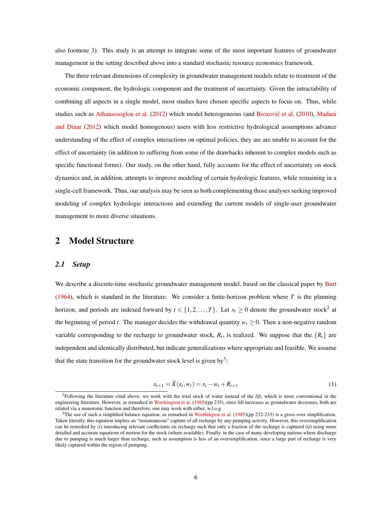also footnote [3\)](#page-6-0). This study is an attempt to integrate some of the most important features of groundwater management in the setting described above into a standard stochastic resource economics framework.

The three relevant dimensions of complexity in groundwater management models relate to treatment of the economic component, the hydrologic component and the treatment of uncertainty. Given the intractability of combining all aspects in a single model, most studies have chosen specific aspects to focus on. Thus, while studies such as [Athanassoglou et al.](#page-32-8) [\(2012\)](#page-32-8) which model heterogeneous (and [Brozovic et al.](#page-32-10) [\(2010\)](#page-32-10), [Madani](#page-33-7) [and Dinar](#page-33-7) [\(2012\)](#page-33-7) which model homogenous) users with less restrictive hydrological assumptions advance understanding of the effect of complex interactions on optimal policies, they are are unable to account for the effect of uncertainty (in addition to suffering from some of the drawbacks inherent to complex models such as specific functional forms). Our study, on the other hand, fully accounts for the effect of uncertainty on stock dynamics and, in addition, attempts to improve modeling of certain hydrologic features, while remaining in a single-cell framework. Thus, our analysis may be seen as both complementing those analyses seeking improved modeling of complex hydrologic interactions and extending the current models of single-user groundwater management to more diverse situations.

### 2 Model Structure

#### *2.1 Setup*

We describe a discrete-time stochastic groundwater management model, based on the classical paper by [Burt](#page-32-0) [\(1964\)](#page-32-0), which is standard in the literature. We consider a finite-horizon problem where  $T$  is the planning horizon, and periods are indexed forward by  $t \in \{1, 2, ..., T\}$  $t \in \{1, 2, ..., T\}$  $t \in \{1, 2, ..., T\}$ . Let  $x_t \ge 0$  denote the groundwater stock<sup>2</sup> at the beginning of period *t*. The manager decides the withdrawal quantity  $w_t \geq 0$ . Then a non-negative random variable corresponding to the recharge to groundwater stock,  $R_t$ , is realized. We suppose that the  $\{R_t\}$  are independent and identically distributed, but indicate generalizations where appropriate and feasible. We assume that the state transition for the groundwater stock level is given by<sup>[3](#page-6-0)</sup>:

<span id="page-6-2"></span>
$$
x_{t+1} = \tilde{X}(x_t, w_t) = x_t - w_t + R_{t+1}
$$
\n(1)

<span id="page-6-1"></span><sup>2</sup>Following the literature cited above, we work with the total stock of water instead of the *lift*, which is more conventional in the engineering literature. However, as remarked in [Worthington et al.](#page-35-4) [\(1985\)](#page-35-4)(pp 235), since lift increases as groundwater decreases, both are related via a monotonic function and therefore, one may work with either, w.l.o.g.

<span id="page-6-0"></span> $3$ The use of such a simplified balance equation, as remarked in [Worthington et al.](#page-35-4) [\(1985\)](#page-35-4)(pp 232-233) is a gross over simplification. Taken literally, this equation implies an "instantaneous" capture of all recharge by any pumping activity. However, this oversimplification can be remedied by (i) introducing relevant coefficients on recharge such that only a fraction of the recharge is captured (ii) using more detailed and accurate equations of motion for the stock (where available). Finally, in the case of many developing nations where discharge due to pumping is much larger than recharge, such as assumption is less of an oversimplification, since a large part of recharge is very likely captured within the region of pumping.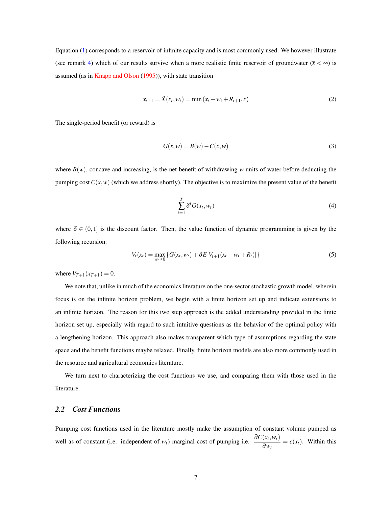Equation [\(1\)](#page-6-2) corresponds to a reservoir of infinite capacity and is most commonly used. We however illustrate (see remark [4\)](#page-18-0) which of our results survive when a more realistic finite reservoir of groundwater ( $\bar{x} < \infty$ ) is assumed (as in [Knapp and Olson](#page-33-3) [\(1995\)](#page-33-3)), with state transition

<span id="page-7-0"></span>
$$
x_{t+1} = \tilde{X}(x_t, w_t) = \min(x_t - w_t + R_{t+1}, \bar{x})
$$
\n(2)

The single-period benefit (or reward) is

$$
G(x, w) = B(w) - C(x, w)
$$
\n<sup>(3)</sup>

where  $B(w)$ , concave and increasing, is the net benefit of withdrawing *w* units of water before deducting the pumping cost  $C(x, w)$  (which we address shortly). The objective is to maximize the present value of the benefit

$$
\sum_{t=1}^{T} \delta^t G(x_t, w_t) \tag{4}
$$

where  $\delta \in (0,1]$  is the discount factor. Then, the value function of dynamic programming is given by the following recursion:

<span id="page-7-1"></span>
$$
V_t(x_t) = \max_{w_t \ge 0} \{ G(x_t, w_t) + \delta E[V_{t+1}(x_t - w_t + R_t)] \}
$$
\n(5)

where  $V_{T+1}(x_{T+1}) = 0$ .

We note that, unlike in much of the economics literature on the one-sector stochastic growth model, wherein focus is on the infinite horizon problem, we begin with a finite horizon set up and indicate extensions to an infinite horizon. The reason for this two step approach is the added understanding provided in the finite horizon set up, especially with regard to such intuitive questions as the behavior of the optimal policy with a lengthening horizon. This approach also makes transparent which type of assumptions regarding the state space and the benefit functions maybe relaxed. Finally, finite horizon models are also more commonly used in the resource and agricultural economics literature.

We turn next to characterizing the cost functions we use, and comparing them with those used in the literature.

## *2.2 Cost Functions*

Pumping cost functions used in the literature mostly make the assumption of constant volume pumped as well as of constant (i.e. independent of  $w_t$ ) marginal cost of pumping i.e.  $\frac{\partial C(x_t, w_t)}{\partial w_t}$  $\frac{\partial w_t}{\partial w_t} = c(x_t)$ . Within this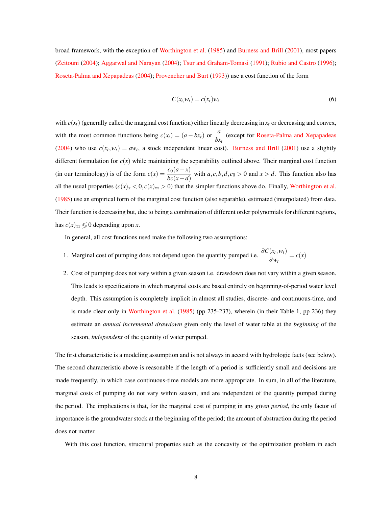broad framework, with the exception of [Worthington et al.](#page-35-4) [\(1985\)](#page-35-4) and [Burness and Brill](#page-32-11) [\(2001\)](#page-32-11), most papers [\(Zeitouni](#page-35-2) [\(2004\)](#page-35-2); [Aggarwal and Narayan](#page-32-5) [\(2004\)](#page-32-5); [Tsur and Graham-Tomasi](#page-35-0) [\(1991\)](#page-35-0); [Rubio and Castro](#page-34-8) [\(1996\)](#page-34-8); [Roseta-Palma and Xepapadeas](#page-34-0) [\(2004\)](#page-34-0); [Provencher and Burt](#page-34-2) [\(1993\)](#page-34-2)) use a cost function of the form

<span id="page-8-0"></span>
$$
C(x_t, w_t) = c(x_t)w_t
$$
\n<sup>(6)</sup>

with  $c(x_t)$  (generally called the marginal cost function) either linearly decreasing in  $x_t$  or decreasing and convex, with the most common functions being  $c(x_t) = (a - bx_t)$  or  $\frac{a}{b}$  $\frac{a}{bx}$  (except for [Roseta-Palma and Xepapadeas](#page-34-0) [\(2004\)](#page-34-0) who use  $c(x_t, w_t) = aw_t$ , a stock independent linear cost). [Burness and Brill](#page-32-11) [\(2001\)](#page-32-11) use a slightly different formulation for  $c(x)$  while maintaining the separability outlined above. Their marginal cost function (in our terminology) is of the form  $c(x) = \frac{c_0(a-x)}{bc(x-d)}$  with  $a, c, b, d, c_0 > 0$  and  $x > d$ . This function also has all the usual properties  $(c(x)_x < 0, c(x)_x > 0)$  that the simpler functions above do. Finally, [Worthington et al.](#page-35-4) [\(1985\)](#page-35-4) use an empirical form of the marginal cost function (also separable), estimated (interpolated) from data. Their function is decreasing but, due to being a combination of different order polynomials for different regions, has  $c(x)_{xx} \leq 0$  depending upon *x*.

In general, all cost functions used make the following two assumptions:

- 1. Marginal cost of pumping does not depend upon the quantity pumped i.e.  $\frac{\partial C(x_t, w_t)}{\partial x_t}$  $\frac{\partial w_i(x, w_i)}{\partial w_i} = c(x)$
- 2. Cost of pumping does not vary within a given season i.e. drawdown does not vary within a given season. This leads to specifications in which marginal costs are based entirely on beginning-of-period water level depth. This assumption is completely implicit in almost all studies, discrete- and continuous-time, and is made clear only in [Worthington et al.](#page-35-4) [\(1985\)](#page-35-4) (pp 235-237), wherein (in their Table 1, pp 236) they estimate an *annual incremental drawdown* given only the level of water table at the *beginning* of the season, *independent* of the quantity of water pumped.

The first characteristic is a modeling assumption and is not always in accord with hydrologic facts (see below). The second characteristic above is reasonable if the length of a period is sufficiently small and decisions are made frequently, in which case continuous-time models are more appropriate. In sum, in all of the literature, marginal costs of pumping do not vary within season, and are independent of the quantity pumped during the period. The implications is that, for the marginal cost of pumping in any *given period*, the only factor of importance is the groundwater stock at the beginning of the period; the amount of abstraction during the period does not matter.

With this cost function, structural properties such as the concavity of the optimization problem in each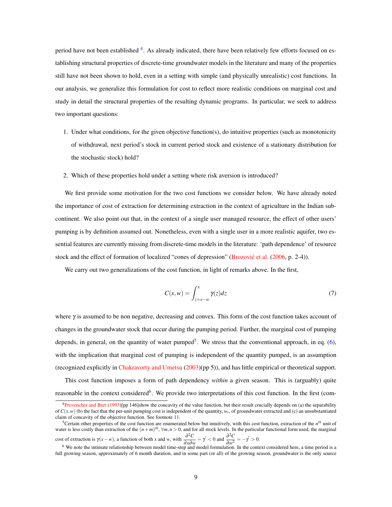period have not been established <sup>[4](#page-9-0)</sup>. As already indicated, there have been relatively few efforts focused on establishing structural properties of discrete-time groundwater models in the literature and many of the properties still have not been shown to hold, even in a setting with simple (and physically unrealistic) cost functions. In our analysis, we generalize this formulation for cost to reflect more realistic conditions on marginal cost and study in detail the structural properties of the resulting dynamic programs. In particular, we seek to address two important questions:

- 1. Under what conditions, for the given objective function(s), do intuitive properties (such as monotonicity of withdrawal, next period's stock in current period stock and existence of a stationary distribution for the stochastic stock) hold?
- 2. Which of these properties hold under a setting where risk aversion is introduced?

We first provide some motivation for the two cost functions we consider below. We have already noted the importance of cost of extraction for determining extraction in the context of agriculture in the Indian subcontinent. We also point out that, in the context of a single user managed resource, the effect of other users' pumping is by definition assumed out. Nonetheless, even with a single user in a more realistic aquifer, two essential features are currently missing from discrete-time models in the literature: 'path dependence' of resource stock and the effect of formation of localized "cones of depression" (Brozović et al. [\(2006,](#page-32-9) p. 2-4)).

We carry out two generalizations of the cost function, in light of remarks above. In the first,

<span id="page-9-3"></span>
$$
C(x, w) = \int_{z=x-w}^{x} \gamma(z) dz
$$
 (7)

where  $\gamma$  is assumed to be non negative, decreasing and convex. This form of the cost function takes account of changes in the groundwater stock that occur during the pumping period. Further, the marginal cost of pumping depends, in general, on the quantity of water pumped<sup>[5](#page-9-1)</sup>. We stress that the conventional approach, in eq.  $(6)$ , with the implication that marginal cost of pumping is independent of the quantity pumped, is an assumption (recognized explicitly in [Chakravorty and Umetsu](#page-32-6) [\(2003\)](#page-32-6)(pp 5)), and has little empirical or theoretical support.

This cost function imposes a form of path dependency *within* a given season. This is (arguably) quite reasonable in the context considered<sup>[6](#page-9-2)</sup>. We provide two interpretations of this cost function. In the first (com-

<span id="page-9-0"></span> $4$ [Provencher and Burt](#page-34-2) [\(1993\)](#page-34-2)[pp 146]show the concavity of the value function, but their result crucially depends on (a) the separability of  $C(x, w)$  (b) the fact that the per-unit pumping cost is independent of the quantity,  $w_t$ , of groundwater extracted and (c) an unsubstantiated claim of concavity of the objective function. See footnote [11.](#page-14-0)

<span id="page-9-1"></span><sup>5</sup>Certain other properties of the cost function are enumerated below but intuitively, with this cost function, extraction of the *n th* unit of water is less costly than extraction of the  $(n+m)^{th}$ ,  $\forall m, n > 0$ , and for all stock levels. In the particular functional form used, the marginal cost of extraction is  $\gamma(x - w)$ , a function of both *x* and *w*, with  $\frac{\partial^2 C}{\partial x \partial y}$  $\frac{\partial^2 C}{\partial x \partial w} = \gamma' < 0$  and  $\frac{\partial^2 C}{\partial w^2}$  $\frac{\partial^2 C}{\partial w^2} = -\gamma' > 0.$ 

<span id="page-9-2"></span> $6\,$  We note the intimate relationship between model time-step and model formulation. In the context considered here, a time period is a full growing season, approximately of 6 month duration, and in some part (or all) of the growing season, groundwater is the only source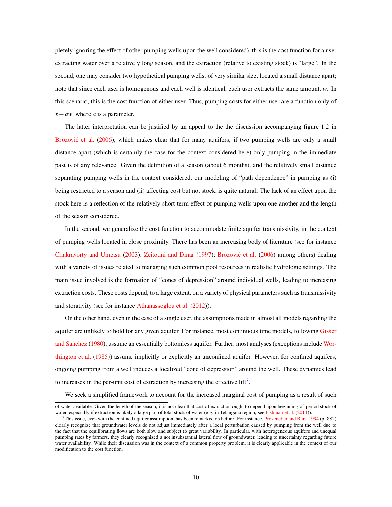pletely ignoring the effect of other pumping wells upon the well considered), this is the cost function for a user extracting water over a relatively long season, and the extraction (relative to existing stock) is "large". In the second, one may consider two hypothetical pumping wells, of very similar size, located a small distance apart; note that since each user is homogenous and each well is identical, each user extracts the same amount, *w*. In this scenario, this is the cost function of either user. Thus, pumping costs for either user are a function only of *x*−*aw*, where *a* is a parameter.

The latter interpretation can be justified by an appeal to the the discussion accompanying figure 1.2 in Brozović et al. [\(2006\)](#page-32-9), which makes clear that for many aquifers, if two pumping wells are only a small distance apart (which is certainly the case for the context considered here) only pumping in the immediate past is of any relevance. Given the definition of a season (about 6 months), and the relatively small distance separating pumping wells in the context considered, our modeling of "path dependence" in pumping as (i) being restricted to a season and (ii) affecting cost but not stock, is quite natural. The lack of an effect upon the stock here is a reflection of the relatively short-term effect of pumping wells upon one another and the length of the season considered.

In the second, we generalize the cost function to accommodate finite aquifer transmissivity, in the context of pumping wells located in close proximity. There has been an increasing body of literature (see for instance [Chakravorty and Umetsu](#page-32-6) [\(2003\)](#page-32-6); [Zeitouni and Dinar](#page-35-5) [\(1997\)](#page-35-5); Brozović et al. [\(2006\)](#page-32-9) among others) dealing with a variety of issues related to managing such common pool resources in realistic hydrologic settings. The main issue involved is the formation of "cones of depression" around individual wells, leading to increasing extraction costs. These costs depend, to a large extent, on a variety of physical parameters such as transmissivity and storativity (see for instance [Athanassoglou et al.](#page-32-8) [\(2012\)](#page-32-8)).

On the other hand, even in the case of a single user, the assumptions made in almost all models regarding the aquifer are unlikely to hold for any given aquifer. For instance, most continuous time models, following [Gisser](#page-33-1) [and Sanchez](#page-33-1) [\(1980\)](#page-33-1), assume an essentially bottomless aquifer. Further, most analyses (exceptions include [Wor](#page-35-4)[thington et al.](#page-35-4) [\(1985\)](#page-35-4)) assume implicitly or explicitly an unconfined aquifer. However, for confined aquifers, ongoing pumping from a well induces a localized "cone of depression" around the well. These dynamics lead to increases in the per-unit cost of extraction by increasing the effective  $\text{lift}^7$  $\text{lift}^7$ .

We seek a simplified framework to account for the increased marginal cost of pumping as a result of such

of water available. Given the length of the season, it is not clear that cost of extraction ought to depend upon beginning-of-period stock of water, especially if extraction is likely a large part of total stock of water (e.g. in Telangana region, see [Fishman et al.](#page-32-7) [\(2011\)](#page-32-7)).

<span id="page-10-0"></span> $7$ This issue, even with the confined aquifer assumption, has been remarked on before. For instance, [Provencher and Burt,](#page-34-9) [1994](#page-34-9) (p. 882) clearly recognize that groundwater levels do not adjust immediately after a local perturbation caused by pumping from the well due to the fact that the equilibrating flows are both slow and subject to great variability. In particular, with heterogeneous aquifers and unequal pumping rates by farmers, they clearly recognized a not insubstantial lateral flow of groundwater, leading to uncertainty regarding future water availability. While their discussion was in the context of a common property problem, it is clearly applicable in the context of our modification to the cost function.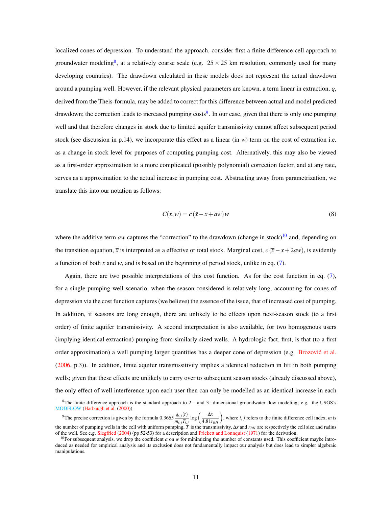localized cones of depression. To understand the approach, consider first a finite difference cell approach to groundwater modeling<sup>[8](#page-11-0)</sup>, at a relatively coarse scale (e.g.  $25 \times 25$  km resolution, commonly used for many developing countries). The drawdown calculated in these models does not represent the actual drawdown around a pumping well. However, if the relevant physical parameters are known, a term linear in extraction, *q*, derived from the Theis-formula, may be added to correct for this difference between actual and model predicted drawdown; the correction leads to increased pumping costs<sup>[9](#page-11-1)</sup>. In our case, given that there is only one pumping well and that therefore changes in stock due to limited aquifer transmissivity cannot affect subsequent period stock (see discussion in p.14), we incorporate this effect as a linear (in *w*) term on the cost of extraction i.e. as a change in stock level for purposes of computing pumping cost. Alternatively, this may also be viewed as a first-order approximation to a more complicated (possibly polynomial) correction factor, and at any rate, serves as a approximation to the actual increase in pumping cost. Abstracting away from parametrization, we translate this into our notation as follows:

<span id="page-11-3"></span>
$$
C(x, w) = c(\bar{x} - x + aw)w
$$
\n(8)

where the additive term *aw* captures the "correction" to the drawdown (change in stock)<sup>[10](#page-11-2)</sup> and, depending on the transition equation,  $\bar{x}$  is interpreted as a effective or total stock. Marginal cost,  $c(\bar{x} - x + 2aw)$ , is evidently a function of both x and  $w$ , and is based on the beginning of period stock, unlike in eq. [\(7\)](#page-9-3).

Again, there are two possible interpretations of this cost function. As for the cost function in eq. [\(7\)](#page-9-3), for a single pumping well scenario, when the season considered is relatively long, accounting for cones of depression via the cost function captures (we believe) the essence of the issue, that of increased cost of pumping. In addition, if seasons are long enough, there are unlikely to be effects upon next-season stock (to a first order) of finite aquifer transmissivity. A second interpretation is also available, for two homogenous users (implying identical extraction) pumping from similarly sized wells. A hydrologic fact, first, is that (to a first order approximation) a well pumping larger quantities has a deeper cone of depression (e.g. Brozović et al. [\(2006,](#page-32-9) p.3)). In addition, finite aquifer transmissitivity implies a identical reduction in lift in both pumping wells; given that these effects are unlikely to carry over to subsequent season stocks (already discussed above), the only effect of well interference upon each user then can only be modelled as an identical increase in each

<span id="page-11-0"></span><sup>&</sup>lt;sup>8</sup>The finite difference approach is the standard approach to 2− and 3−dimensional groundwater flow modeling; e.g. the USGS's [MODFLOW](http://water.usgs.gov/ogw/modflow/) [\(Harbaugh et al.](#page-33-8) [\(2000\)](#page-33-8)).

<span id="page-11-1"></span><sup>&</sup>lt;sup>9</sup>The precise correction is given by the formula 0.3665  $\frac{q_{i,j}(t)}{T}$  $\frac{q_{i,j}(t)}{m_{i,j}T_{i,j}}$  log  $\left(\frac{\Delta x}{4.81r_{BH}}\right)$ , where *i*, *j* refers to the finite difference cell index, *m* is the number of pumping wells in the cell with uniform pumping, *T* is the transmissivity, ∆*x* and *rBH* are respectively the cell size and radius of the well. See e.g. [Siegfried](#page-35-6) [\(2004\)](#page-35-6) (pp 52-53) for a description and [Prickett and Lonnquist](#page-34-10) [\(1971\)](#page-34-10) for the derivation.

<span id="page-11-2"></span> $10$ For subsequent analysis, we drop the coefficient *a* on *w* for minimizing the number of constants used. This coefficient maybe introduced as needed for empirical analysis and its exclusion does not fundamentally impact our analysis but does lead to simpler algebraic manipulations.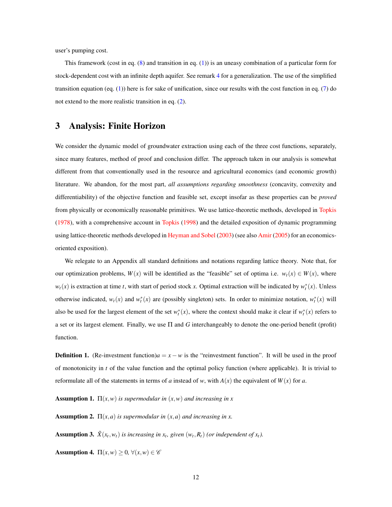user's pumping cost.

This framework (cost in eq. [\(8\)](#page-11-3) and transition in eq. [\(1\)](#page-6-2)) is an uneasy combination of a particular form for stock-dependent cost with an infinite depth aquifer. See remark [4](#page-18-0) for a generalization. The use of the simplified transition equation (eq. [\(1\)](#page-6-2)) here is for sake of unification, since our results with the cost function in eq. [\(7\)](#page-9-3) do not extend to the more realistic transition in eq. [\(2\)](#page-7-0).

## 3 Analysis: Finite Horizon

We consider the dynamic model of groundwater extraction using each of the three cost functions, separately, since many features, method of proof and conclusion differ. The approach taken in our analysis is somewhat different from that conventionally used in the resource and agricultural economics (and economic growth) literature. We abandon, for the most part, *all assumptions regarding smoothness* (concavity, convexity and differentiability) of the objective function and feasible set, except insofar as these properties can be *proved* from physically or economically reasonable primitives. We use lattice-theoretic methods, developed in [Topkis](#page-35-7) [\(1978\)](#page-35-7), with a comprehensive account in [Topkis](#page-35-8) [\(1998\)](#page-35-8) and the detailed exposition of dynamic programming using lattice-theoretic methods developed in [Heyman and Sobel](#page-33-9) [\(2003\)](#page-33-9) (see also [Amir](#page-32-12) [\(2005\)](#page-32-12) for an economicsoriented exposition).

We relegate to an Appendix all standard definitions and notations regarding lattice theory. Note that, for our optimization problems,  $W(x)$  will be identified as the "feasible" set of optima i.e.  $w_t(x) \in W(x)$ , where  $w_t(x)$  is extraction at time *t*, with start of period stock *x*. Optimal extraction will be indicated by  $w_t^*(x)$ . Unless otherwise indicated,  $w_t(x)$  and  $w_t^*(x)$  are (possibly singleton) sets. In order to minimize notation,  $w_t^*(x)$  will also be used for the largest element of the set  $w_t^*(x)$ , where the context should make it clear if  $w_t^*(x)$  refers to a set or its largest element. Finally, we use Π and *G* interchangeably to denote the one-period benefit (profit) function.

**Definition 1.** (Re-investment function) $a = x - w$  is the "reinvestment function". It will be used in the proof of monotonicity in *t* of the value function and the optimal policy function (where applicable). It is trivial to reformulate all of the statements in terms of *a* instead of *w*, with  $A(x)$  the equivalent of  $W(x)$  for *a*.

<span id="page-12-0"></span>Assumption 1. Π(*x*,*w*) *is supermodular in* (*x*,*w*) *and increasing in x*

<span id="page-12-1"></span>**Assumption 2.**  $\Pi(x, a)$  *is supermodular in*  $(x, a)$  *and increasing in x.* 

<span id="page-12-3"></span>**Assumption 3.**  $\tilde{X}(x_t, w_t)$  is increasing in  $x_t$ , given  $(w_t, R_t)$  (or independent of  $x_t$ ).

<span id="page-12-2"></span>**Assumption 4.**  $\Pi(x, w) \geq 0$ ,  $\forall (x, w) \in \mathscr{C}$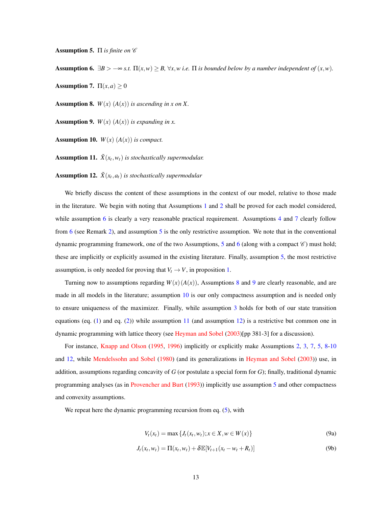<span id="page-13-2"></span>Assumption 5. Π *is finite on* C

<span id="page-13-0"></span>**Assumption 6.**  $\exists B > -\infty$  *s.t.*  $\Pi(x, w) \geq B$ ,  $\forall x, w$  *i.e.*  $\Pi$  *is bounded below by a number independent of*  $(x, w)$ *.* 

<span id="page-13-1"></span>**Assumption 7.**  $\Pi(x,a) \geq 0$ 

<span id="page-13-3"></span>**Assumption 8.** *W*(*x*) (*A*(*x*)) *is ascending in x on X*.

<span id="page-13-4"></span>**Assumption 9.** *W*(*x*) (*A*(*x*)) *is expanding in x.* 

<span id="page-13-5"></span>**Assumption 10.**  $W(x)$   $(A(x))$  *is compact.* 

<span id="page-13-6"></span>**Assumption 11.**  $\tilde{X}(x_t, w_t)$  is stochastically supermodular.

<span id="page-13-7"></span>**Assumption 12.**  $\tilde{X}(x_t, a_t)$  is stochastically supermodular

We briefly discuss the content of these assumptions in the context of our model, relative to those made in the literature. We begin with noting that Assumptions [1](#page-12-0) and [2](#page-12-1) shall be proved for each model considered, while assumption [6](#page-13-0) is clearly a very reasonable practical requirement. Assumptions [4](#page-12-2) and [7](#page-13-1) clearly follow from [6](#page-13-0) (see Remark [2\)](#page-17-0), and assumption [5](#page-13-2) is the only restrictive assumption. We note that in the conventional dynamic programming framework, one of the two Assumptions, [5](#page-13-2) and [6](#page-13-0) (along with a compact  $\mathcal C$ ) must hold; these are implicitly or explicitly assumed in the existing literature. Finally, assumption [5,](#page-13-2) the most restrictive assumption, is only needed for proving that  $V_t \to V$ , in proposition [1.](#page-14-1)

Turning now to assumptions regarding  $W(x)$  ( $A(x)$ ), Assumptions [8](#page-13-3) and [9](#page-13-4) are clearly reasonable, and are made in all models in the literature; assumption [10](#page-13-5) is our only compactness assumption and is needed only to ensure uniqueness of the maximizer. Finally, while assumption [3](#page-12-3) holds for both of our state transition equations (eq.  $(1)$  and eq.  $(2)$ ) while assumption [11](#page-13-6) (and assumption [12\)](#page-13-7) is a restrictive but common one in dynamic programming with lattice theory (see [Heyman and Sobel](#page-33-9) [\(2003\)](#page-33-9)[pp 381-3] for a discussion).

For instance, [Knapp and Olson](#page-33-3) [\(1995,](#page-33-3) [1996\)](#page-33-4) implicitly or explicitly make Assumptions [2,](#page-12-1) [3,](#page-12-3) [7,](#page-13-1) [5,](#page-13-2) [8-](#page-13-3)[10](#page-13-5) and [12,](#page-13-7) while [Mendelssohn and Sobel](#page-33-5) [\(1980\)](#page-33-5) (and its generalizations in [Heyman and Sobel](#page-33-9) [\(2003\)](#page-33-9)) use, in addition, assumptions regarding concavity of *G* (or postulate a special form for *G*); finally, traditional dynamic programming analyses (as in [Provencher and Burt](#page-34-2) [\(1993\)](#page-34-2)) implicitly use assumption [5](#page-13-2) and other compactness and convexity assumptions.

We repeat here the dynamic programming recursion from eq. [\(5\)](#page-7-1), with

<span id="page-13-9"></span><span id="page-13-8"></span>
$$
V_t(x_t) = \max \{ J_t(x_t, w_t); x \in X, w \in W(x) \}
$$
 (9a)

$$
J_t(x_t, w_t) = \Pi(x_t, w_t) + \delta \mathbb{E}[V_{t+1}(x_t - w_t + R_t)]
$$
\n(9b)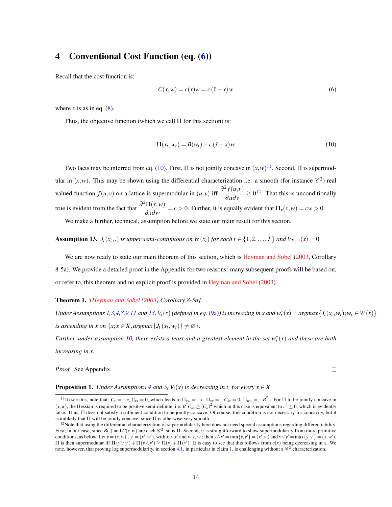## 4 Conventional Cost Function (eq. [\(6\)](#page-8-0))

Recall that the cost function is:

<span id="page-14-2"></span>
$$
C(x, w) = c(x)w = c(\bar{x} - x)w
$$
\n<sup>(6)</sup>

where  $\bar{x}$  is as in eq. [\(8\)](#page-11-3).

Thus, the objective function (which we call  $\Pi$  for this section) is:

$$
\Pi(x_t, w_t) = B(w_t) - c(\bar{x} - x) w \tag{10}
$$

Two facts may be inferred from eq. [\(10\)](#page-14-2). First,  $\Pi$  is not jointly concave in  $(x, w)^{11}$  $(x, w)^{11}$  $(x, w)^{11}$ . Second,  $\Pi$  is supermodular in  $(x, w)$ . This may be shown using the differential characterization i.e. a smooth (for instance  $\mathscr{C}^2$ ) real valued function  $f(u, v)$  on a lattice is supermodular in  $(u, v)$  iff  $\frac{\partial^2 f(u, v)}{\partial x \partial y}$  $rac{f(u,v)}{\partial u \partial v} \ge 0^{12}$  $rac{f(u,v)}{\partial u \partial v} \ge 0^{12}$  $rac{f(u,v)}{\partial u \partial v} \ge 0^{12}$ . That this is unconditionally true is evident from the fact that  $\frac{\partial^2 \Pi(x, w)}{\partial x^2}$  $\frac{\partial f(x, w)}{\partial x \partial w} = c > 0$ . Further, it is equally evident that  $\Pi_x(x, w) = cw > 0$ .

We make a further, technical, assumption before we state our main result for this section.

<span id="page-14-4"></span>Assumption 13. *J*<sub>t</sub>( $x$ <sub>t</sub>,.) is upper semi-continuous on  $W(x_t)$  for each  $t \in \{1, 2, ..., T\}$  and  $V_{T+1}(x) = 0$ 

We are now ready to state our main theorem of this section, which is [Heyman and Sobel](#page-33-9) [\(2003,](#page-33-9) Corollary 8-5a). We provide a detailed proof in the Appendix for two reasons: many subsequent proofs will be based on, or refer to, this theorem and no explicit proof is provided in [Heyman and Sobel](#page-33-9) [\(2003\)](#page-33-9).

#### <span id="page-14-5"></span>Theorem 1. *[\[Heyman and Sobel](#page-33-9) [\(2003\)](#page-33-9),Corollary 8-5a]*

Under Assumptions [1](#page-12-0)[,3](#page-12-3)[,4](#page-12-2)[,8](#page-13-3)[,9](#page-13-4)[,11](#page-13-6) and [13,](#page-14-4)  $V_t(x)$  (defined in eq. [\(9a\)](#page-13-8)) is increasing in x and  $w_t^*(x) = \argmax\{J_t(x_t, w_t); w_t \in W(x)\}$ *is ascending in x on*  $\{x; x \in X, argmax\{J_t(x_t, w_t)\} \neq \emptyset\}.$ 

*Further, under assumption [10,](#page-13-5) there exists a least and a greatest element in the set*  $w_t^*(x)$  *and these are both increasing in x.*

*Proof.* See Appendix.

 $\Box$ 

<span id="page-14-1"></span>**Proposition 1.** *Under Assumptions* [4](#page-12-2) *and* [5,](#page-13-2)  $V_t(x)$  *is decreasing in t, for every*  $x \in X$ 

<span id="page-14-0"></span><sup>&</sup>lt;sup>11</sup>To see this, note that:  $C_x = -c$ ,  $C_{xx} = 0$ , which leads to  $\Pi_{xw} = -c$ ,  $\Pi_{xx} = -C_{xx} = 0$ ,  $\Pi_{ww} = -B''$ . For  $\Pi$  to be jointly concave in  $(x, w)$ , the Hessian is required to be positive semi-definite, i.e.  $B'' C_{xx} \ge (C_x)^2$  which in this case is equivalent to  $c^2 \le 0$ , which is evidently false. Thus, Π does not satisfy a sufficient condition to be jointly concave. Of course, this condition is not necessary for concavity, but it is unlikely that  $\Pi$  will be jointly concave, since  $\Pi$  is otherwise very smooth.

<span id="page-14-3"></span><sup>&</sup>lt;sup>12</sup>Note that using the differential characterization of supermodularity here does not need special assumptions regarding differentiability. First, in our case, since  $B(.)$  and  $C(x, w)$  are each  $\mathscr{C}^2$ , so is  $\Pi$ . Second, it is straightforward to show supermodularity from more primitive conditions, as below. Let  $y = (x, w)$ ,  $y' = (x', w')$ , with  $x > x'$  and  $w < w'$ ; then  $y \wedge y' = \min\{y, y'\} = (x', w)$  and  $y \vee y' = \max\{y, y'\} = (x, w')$ . IT is then supermodular iff Π(*y*∨*y'*) +Π(*y*∧*y'*) ≥ Π(*y*) + Π(*y'*). It is easy to see that this follows from *c*(*x*) being decreasing in *x*. We note, however, that proving log supermodularity, in section [4.1,](#page-15-0) in particular in claim [1,](#page-16-0) is challenging without a  $\mathscr{C}^2$  characterization.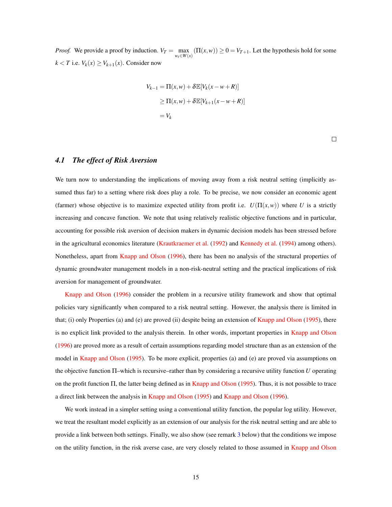*Proof.* We provide a proof by induction.  $V_T = \max_{w_t \in W(x)} (\Pi(x, w)) \ge 0 = V_{T+1}$ . Let the hypothesis hold for some  $k < T$  i.e.  $V_k(x) \geq V_{k+1}(x)$ . Consider now

$$
V_{k-1} = \Pi(x, w) + \delta \mathbb{E}[V_k(x - w + R)]
$$
  
\n
$$
\geq \Pi(x, w) + \delta \mathbb{E}[V_{k+1}(x - w + R)]
$$
  
\n
$$
= V_k
$$

 $\Box$ 

#### <span id="page-15-0"></span>*4.1 The effect of Risk Aversion*

We turn now to understanding the implications of moving away from a risk neutral setting (implicitly assumed thus far) to a setting where risk does play a role. To be precise, we now consider an economic agent (farmer) whose objective is to maximize expected utility from profit i.e.  $U(\Pi(x, w))$  where *U* is a strictly increasing and concave function. We note that using relatively realistic objective functions and in particular, accounting for possible risk aversion of decision makers in dynamic decision models has been stressed before in the agricultural economics literature [\(Krautkraemer et al.](#page-33-10) [\(1992\)](#page-33-10) and [Kennedy et al.](#page-33-11) [\(1994\)](#page-33-11) among others). Nonetheless, apart from [Knapp and Olson](#page-33-4) [\(1996\)](#page-33-4), there has been no analysis of the structural properties of dynamic groundwater management models in a non-risk-neutral setting and the practical implications of risk aversion for management of groundwater.

[Knapp and Olson](#page-33-4) [\(1996\)](#page-33-4) consider the problem in a recursive utility framework and show that optimal policies vary significantly when compared to a risk neutral setting. However, the analysis there is limited in that; (i) only Properties (a) and (e) are proved (ii) despite being an extension of [Knapp and Olson](#page-33-3) [\(1995\)](#page-33-3), there is no explicit link provided to the analysis therein. In other words, important properties in [Knapp and Olson](#page-33-4) [\(1996\)](#page-33-4) are proved more as a result of certain assumptions regarding model structure than as an extension of the model in [Knapp and Olson](#page-33-3) [\(1995\)](#page-33-3). To be more explicit, properties (a) and (e) are proved via assumptions on the objective function Π–which is recursive–rather than by considering a recursive utility function *U* operating on the profit function Π, the latter being defined as in [Knapp and Olson](#page-33-3) [\(1995\)](#page-33-3). Thus, it is not possible to trace a direct link between the analysis in [Knapp and Olson](#page-33-3) [\(1995\)](#page-33-3) and [Knapp and Olson](#page-33-4) [\(1996\)](#page-33-4).

We work instead in a simpler setting using a conventional utility function, the popular log utility. However, we treat the resultant model explicitly as an extension of our analysis for the risk neutral setting and are able to provide a link between both settings. Finally, we also show (see remark [3](#page-17-1) below) that the conditions we impose on the utility function, in the risk averse case, are very closely related to those assumed in [Knapp and Olson](#page-33-4)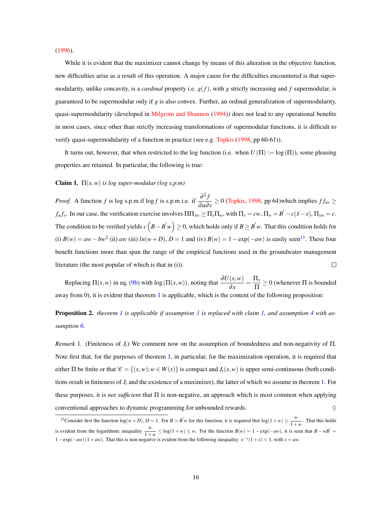[\(1996\)](#page-33-4).

While it is evident that the maximizer cannot change by means of this alteration in the objective function, new difficulties arise as a result of this operation. A major cause for the difficulties encountered is that supermodularity, unlike concavity, is a *cardinal* property i.e.  $g(f)$ , with *g* strictly increasing and *f* supermodular, is guaranteed to be supermodular only if  $g$  is also convex. Further, an ordinal generalization of supermodularity, quasi-supermodularity (developed in [Milgrom and Shannon](#page-34-11) [\(1994\)](#page-34-11)) does not lead to any operational benefits in most cases, since other than strictly increasing transformations of supermodular functions, it is difficult to verify quasi-supermodularity of a function in practice (see e.g. [Topkis](#page-35-8) [\(1998,](#page-35-8) pp 60-61)).

It turns out, however, that when restricted to the log function (i.e. when  $U(\Pi) := \log(\Pi)$ ), some pleasing properties are retained. In particular, the following is true:

#### <span id="page-16-0"></span>Claim 1.  $\Pi(x, w)$  *is log super-modular (log s.p.m)*

*Proof.* A function *f* is log s.p.m if log *f* is s.p.m i.e. if  $\frac{\partial^2 f}{\partial x \partial y}$  $\frac{\partial}{\partial u \partial v}$  ≥ 0 [\(Topkis,](#page-35-8) [1998,](#page-35-8) pp 64)which implies  $f f_{uv}$  ≥  $f_u f_v$ . In our case, the verification exercise involves  $\Pi \Pi_{xw} \geq \Pi_x \Pi_w$ , with  $\Pi_x = cw$ ,  $\Pi_w = B' - c(\bar{x} - x)$ ,  $\Pi_{xw} = c$ . The condition to be verified yields  $c(B - B\prime w) \ge 0$ , which holds only if  $B \ge B\prime w$ . That this condition holds for (i)  $B(w) = aw - bw^2$  (ii)  $aw$  (iii)  $ln(w + D)$ ,  $D = 1$  and (iv)  $B(w) = 1 - exp(-aw)$  is easily seen<sup>[13](#page-16-1)</sup>. These four benefit functions more than span the range of the empirical functions used in the groundwater management  $\Box$ literature (the most popular of which is that in (i)).

Replacing  $\Pi(x, w)$  in eq. [\(9b\)](#page-13-9) with log( $\Pi(x, w)$ ), noting that  $\frac{\partial U(x, w)}{\partial x} = \frac{\Pi_x}{\Pi_y}$  $\frac{\Delta x}{\Pi} \ge 0$  (whenever  $\Pi$  is bounded away from 0), it is evident that theorem [1](#page-14-5) is applicable, which is the content of the following proposition:

## Proposition 2. *theorem [1](#page-14-5) is applicable if assumption [1](#page-12-0) is replaced with claim [1,](#page-16-0) and assumption [4](#page-12-2) with assumption [6.](#page-13-0)*

*Remark* 1*.* (Finiteness of *Jt*) We comment now on the assumption of boundedness and non-negativity of Π. Note first that, for the purposes of theorem [1,](#page-14-5) in particular, for the maximization operation, it is required that either  $\Pi$  be finite or that  $\mathcal{C} = \{(x, w): w \in W(x)\}$  is compact and  $J_t(x, w)$  is upper semi-continuous (both conditions result in finiteness of  $J_t$  and the existence of a maximizer), the latter of which we assume in theorem [1.](#page-14-5) For these purposes, it is *not sufficient* that Π is non-negative, an approach which is most common when applying conventional approaches to dynamic programming for unbounded rewards.  $\Diamond$ 

<span id="page-16-1"></span><sup>&</sup>lt;sup>13</sup>Consider first the function  $\log(w+D)$ , *D* = 1. For *B* > *B' w* for this function, it is required that  $\log(1+w) \ge \frac{w}{1+w}$  $\frac{n}{1+w}$ . That this holds is evident from the logarithmic inequality  $\frac{w}{1+w} \leq \log(1+w) \leq w$ . For the function  $B(w) = 1 - \exp(-aw)$ , it is seen that  $B - wB' = 0$  $1 - \exp(-aw)(1 + aw)$ . That this is non-negative is evident from the following inequality:  $e^{-x}(1+x) < 1$ , with  $x = aw$ .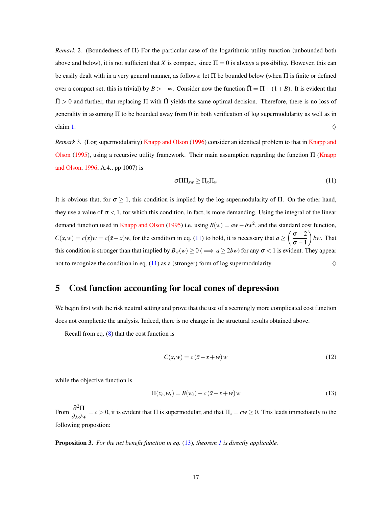<span id="page-17-0"></span>*Remark* 2*.* (Boundedness of Π) For the particular case of the logarithmic utility function (unbounded both above and below), it is not sufficient that *X* is compact, since  $\Pi = 0$  is always a possibility. However, this can be easily dealt with in a very general manner, as follows: let Π be bounded below (when Π is finite or defined over a compact set, this is trivial) by  $B > -\infty$ . Consider now the function  $\tilde{\Pi} = \Pi + (1+B)$ . It is evident that  $\Pi > 0$  and further, that replacing  $\Pi$  with  $\Pi$  yields the same optimal decision. Therefore, there is no loss of generality in assuming  $\Pi$  to be bounded away from 0 in both verification of log supermodularity as well as in claim [1.](#page-16-0)  $\Diamond$ 

<span id="page-17-1"></span>*Remark* 3*.* (Log supermodularity) [Knapp and Olson](#page-33-4) [\(1996\)](#page-33-4) consider an identical problem to that in [Knapp and](#page-33-3) [Olson](#page-33-3) [\(1995\)](#page-33-3), using a recursive utility framework. Their main assumption regarding the function Π [\(Knapp](#page-33-4) [and Olson,](#page-33-4) [1996,](#page-33-4) A.4., pp 1007) is

<span id="page-17-2"></span>
$$
\sigma \Pi \Pi_{xw} \geq \Pi_x \Pi_w \tag{11}
$$

It is obvious that, for  $\sigma \geq 1$ , this condition is implied by the log supermodularity of  $\Pi$ . On the other hand, they use a value of  $\sigma$  < 1, for which this condition, in fact, is more demanding. Using the integral of the linear demand function used in [Knapp and Olson](#page-33-3) [\(1995\)](#page-33-3) i.e. using  $B(w) = aw - bw^2$ , and the standard cost function,  $C(x, w) = c(x)w = c(\bar{x} - x)w$ , for the condition in eq. [\(11\)](#page-17-2) to hold, it is necessary that  $a \geq \left(\frac{\sigma - 2}{\sigma - 1}\right)$  $\sigma - 1$  *bw*. That this condition is stronger than that implied by  $B_w(w) \ge 0 \implies a \ge 2bw$  for any  $\sigma < 1$  is evident. They appear not to recognize the condition in eq. [\(11\)](#page-17-2) as a (stronger) form of log supermodularity.  $\diamond$ 

# 5 Cost function accounting for local cones of depression

We begin first with the risk neutral setting and prove that the use of a seemingly more complicated cost function does not complicate the analysis. Indeed, there is no change in the structural results obtained above.

Recall from eq. [\(8\)](#page-11-3) that the cost function is

$$
C(x, w) = c(\bar{x} - x + w)w
$$
\n<sup>(12)</sup>

while the objective function is

<span id="page-17-3"></span>
$$
\Pi(x_t, w_t) = B(w_t) - c(\bar{x} - x + w) w \tag{13}
$$

From  $\frac{\partial^2 \Pi}{\partial \theta}$  $\frac{\partial^2 H}{\partial x \partial w} = c > 0$ , it is evident that  $\Pi$  is supermodular, and that  $\Pi_x = cw \ge 0$ . This leads immediately to the following propostion:

Proposition 3. *For the net benefit function in eq.* [\(13\)](#page-17-3)*, theorem [1](#page-14-5) is directly applicable.*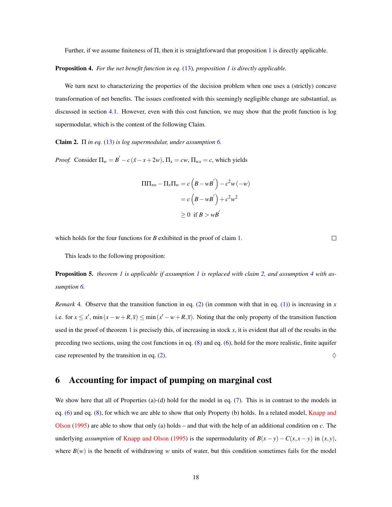Further, if we assume finiteness of Π, then it is straightforward that proposition [1](#page-14-1) is directly applicable.

<span id="page-18-3"></span>Proposition 4. *For the net benefit function in eq.* [\(13\)](#page-17-3)*, proposition [1](#page-14-1) is directly applicable.*

We turn next to characterizing the properties of the decision problem when one uses a (strictly) concave transformation of net benefits. The issues confronted with this seemingly negligible change are substantial, as discussed in section [4.1.](#page-15-0) However, even with this cost function, we may show that the profit function is log supermodular, which is the content of the following Claim.

<span id="page-18-1"></span>Claim 2. Π *in eq.* [\(13\)](#page-17-3) *is log supermodular, under assumption [6.](#page-13-0)*

*Proof.* Consider  $\Pi_w = B' - c(\bar{x} - x + 2w)$ ,  $\Pi_x = cw$ ,  $\Pi_{wx} = c$ , which yields

$$
\Pi\Pi_{xw} - \Pi_x\Pi_w = c (B - wB') - c^2w(-w)
$$

$$
= c (B - wB') + c^2w^2
$$

$$
\ge 0 \text{ if } B > wB'
$$

which holds for the four functions for *B* exhibited in the proof of claim [1.](#page-16-0)

 $\Box$ 

This leads to the following proposition:

<span id="page-18-2"></span>Proposition 5. *theorem [1](#page-14-5) is applicable if assumption [1](#page-12-0) is replaced with claim [2,](#page-18-1) and assumption [4](#page-12-2) with assumption [6.](#page-13-0)*

<span id="page-18-0"></span>*Remark* 4. Observe that the transition function in eq. [\(2\)](#page-7-0) (in common with that in eq. [\(1\)](#page-6-2)) is increasing in  $x$ i.e. for  $x \le x'$ , min $(x-w+R,\overline{x}) \le \min(x'-w+R,\overline{x})$ . Noting that the only property of the transition function used in the proof of theorem [1](#page-14-5) is precisely this, of increasing in stock *x*, it is evident that all of the results in the preceding two sections, using the cost functions in eq. [\(8\)](#page-11-3) and eq. [\(6\)](#page-8-0), hold for the more realistic, finite aquifer case represented by the transition in eq. [\(2\)](#page-7-0).  $\Diamond$ 

## 6 Accounting for impact of pumping on marginal cost

We show here that all of Properties (a)-(d) hold for the model in eq. [\(7\)](#page-9-3). This is in contrast to the models in eq. [\(6\)](#page-8-0) and eq. [\(8\)](#page-11-3), for which we are able to show that only Property (b) holds. In a related model, [Knapp and](#page-33-3) [Olson](#page-33-3) [\(1995\)](#page-33-3) are able to show that only (a) holds – and that with the help of an additional condition on *c*. The underlying *assumption* of [Knapp and Olson](#page-33-3) [\(1995\)](#page-33-3) is the supermodularity of  $B(x - y) - C(x, x - y)$  in  $(x, y)$ , where  $B(w)$  is the benefit of withdrawing *w* units of water, but this condition sometimes fails for the model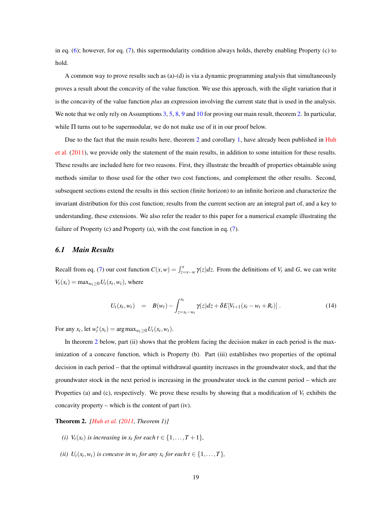in eq.  $(6)$ ; however, for eq.  $(7)$ , this supermodularity condition always holds, thereby enabling Property (c) to hold.

A common way to prove results such as (a)-(d) is via a dynamic programming analysis that simultaneously proves a result about the concavity of the value function. We use this approach, with the slight variation that it is the concavity of the value function *plus* an expression involving the current state that is used in the analysis. We note that we only rely on Assumptions [3,](#page-12-3) [5,](#page-13-2) [8,](#page-13-3) [9](#page-13-4) and [10](#page-13-5) for proving our main result, theorem [2.](#page-19-0) In particular, while Π turns out to be supermodular, we do not make use of it in our proof below.

Due to the fact that the main results here, theorem [2](#page-19-0) and corollary [1,](#page-20-0) have already been published in [Huh](#page-33-12) [et al.](#page-33-12) [\(2011\)](#page-33-12), we provide only the statement of the main results, in addition to some intuition for these results. These results are included here for two reasons. First, they illustrate the breadth of properties obtainable using methods similar to those used for the other two cost functions, and complement the other results. Second, subsequent sections extend the results in this section (finite horizon) to an infinite horizon and characterize the invariant distribution for this cost function; results from the current section are an integral part of, and a key to understanding, these extensions. We also refer the reader to this paper for a numerical example illustrating the failure of Property (c) and Property (a), with the cost function in eq. [\(7\)](#page-9-3).

#### *6.1 Main Results*

Recall from eq. [\(7\)](#page-9-3) our cost function  $C(x, w) = \int_{z=x-w}^{x} \gamma(z) dz$ . From the definitions of  $V_t$  and  $G$ , we can write  $V_t(x_t) = \max_{w_t \geq 0} U_t(x_t, w_t)$ , where

$$
U_t(x_t, w_t) = B(w_t) - \int_{z = x_t - w_t}^{x_t} \gamma(z) dz + \delta E[V_{t+1}(x_t - w_t + R_t)] \ . \tag{14}
$$

For any  $x_t$ , let  $w_t^*(x_t) = \arg \max_{w_t \geq 0} U_t(x_t, w_t)$ .

In theorem [2](#page-19-0) below, part (ii) shows that the problem facing the decision maker in each period is the maximization of a concave function, which is Property (b). Part (iii) establishes two properties of the optimal decision in each period – that the optimal withdrawal quantity increases in the groundwater stock, and that the groundwater stock in the next period is increasing in the groundwater stock in the current period – which are Properties (a) and (c), respectively. We prove these results by showing that a modification of  $V_t$  exhibits the concavity property – which is the content of part (iv).

<span id="page-19-0"></span>Theorem 2. *[\[Huh et al.](#page-33-12) [\(2011,](#page-33-12) Theorem 1)]*

- *(i)*  $V_t(x_t)$  *is increasing in*  $x_t$  *for each t*  $\in \{1,\ldots,T+1\}$ *,*
- *(ii)*  $U_t(x_t, w_t)$  *is concave in w<sub>t</sub> for any*  $x_t$  *for each*  $t \in \{1, ..., T\}$ *,*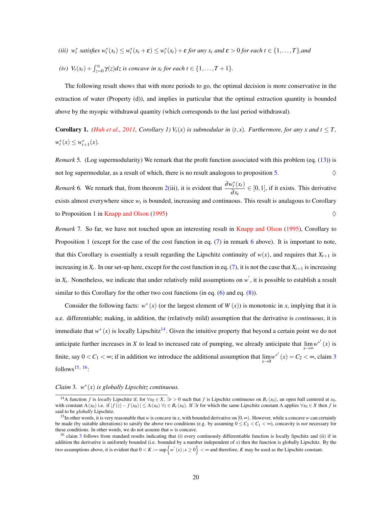- (iii)  $w_t^*$  satisfies  $w_t^*(x_t) \leq w_t^*(x_t + \varepsilon) \leq w_t^*(x_t) + \varepsilon$  for any  $x_t$  and  $\varepsilon > 0$  for each  $t \in \{1, ..., T\}$ , and
- $(iv)$   $V_t(x_t) + \int_{z=0}^{x_t} \gamma(z) dz$  is concave in  $x_t$  for each  $t \in \{1, ..., T+1\}$ *.*

The following result shows that with more periods to go, the optimal decision is more conservative in the extraction of water (Property (d)), and implies in particular that the optimal extraction quantity is bounded above by the myopic withdrawal quantity (which corresponds to the last period withdrawal).

<span id="page-20-0"></span>**Corollary 1.** *[\(Huh et al.,](#page-33-12) [2011,](#page-33-12) Corollary 1)*  $V_t(x)$  *is submodular in* (*t,x*)*. Furthermore, for any x and*  $t \leq T$ *,*  $w_t^*(x) \leq w_{t+1}^*(x)$ .

*Remark* 5. (Log supermodularity) We remark that the profit function associated with this problem (eq. [\(13\)](#page-17-3)) is not log supermodular, as a result of which, there is no result analogous to proposition [5.](#page-18-2)  $\Diamond$ 

<span id="page-20-1"></span>*Remark* 6. We remark that, from theorem [2\(](#page-19-0)iii), it is evident that  $\frac{\partial w_t^*(x_t)}{\partial x_t}$  $\frac{\partial u}{\partial x_i} \in [0,1]$ , if it exists. This derivative exists almost everywhere since *w<sup>t</sup>* is bounded, increasing and continuous. This result is analagous to Corollary to Proposition 1 in [Knapp and Olson](#page-33-3) [\(1995\)](#page-33-3)  $\Diamond$ 

*Remark* 7. So far, we have not touched upon an interesting result in [Knapp and Olson](#page-33-3) [\(1995\)](#page-33-3), Corollary to Proposition 1 (except for the case of the cost function in eq. [\(7\)](#page-9-3) in remark [6](#page-20-1) above). It is important to note, that this Corollary is essentially a result regarding the Lipschitz continuity of  $w(x)$ , and requires that  $X_{t+1}$  is increasing in  $X_t$ . In our set-up here, except for the cost function in eq. [\(7\)](#page-9-3), it is not the case that  $X_{t+1}$  is increasing in  $X_t$ . Nonetheless, we indicate that under relatively mild assumptions on  $w'$ , it is possible to establish a result similar to this Corollary for the other two cost functions (in eq.  $(6)$  and eq.  $(8)$ ).

Consider the following facts:  $w^*(x)$  (or the largest element of  $W(x)$ ) is monotonic in *x*, implying that it is a.e. differentiable; making, in addition, the (relatively mild) assumption that the derivative is *continuous*, it is immediate that  $w^*(x)$  is locally Lipschitz<sup>[14](#page-20-2)</sup>. Given the intuitive property that beyond a certain point we do not anticipate further increases in *X* to lead to increased rate of pumping, we already anticipate that  $\lim_{x\to\infty} w^{*'}(x)$  is finite, say  $0 < C_1 < \infty$ ; if in addition we introduce the additional assumption that  $\lim_{x\to 0} w^{*'}(x) = C_2 < \infty$ , claim [3](#page-20-3) follows<sup>[15](#page-20-4), [16](#page-20-5)</sup>:

<span id="page-20-3"></span>*Claim* 3.  $w^*(x)$  *is globally Lipschitz continuous.* 

<span id="page-20-2"></span><sup>&</sup>lt;sup>14</sup>A function *f* is *locally* Lipschitz if, for  $\forall x_0 \in X$ ,  $\exists r > 0$  such that *f* is Lipschitz continuous on  $B_r(x_0)$ , an open ball centered at  $x_0$ , with constant  $\Lambda(x_0)$  i.e. if  $|f(z) - f(x_0)| \leq \Lambda(x_0) \forall z \in B_r(x_0)$ . If  $\exists$ r for which the same Lipschitz constant  $\Lambda$  applies  $\forall x_0 \in X$  then f is said to be *globally* Lipschitz.

<span id="page-20-4"></span><sup>&</sup>lt;sup>15</sup>In other words, it is very reasonable that *w* is concave in *x*, with bounded derivative on [0,  $\infty$ ). However, while a concave *w* can certainly be made (by suitable alterations) to satsify the above two conditions (e.g. by assuming  $0 \le C_2 < C_1 < \infty$ ), concavity is *not* necessary for these conditions. In other words, we do not assume that *w* is concave.

<span id="page-20-5"></span> $16$  claim [3](#page-20-3) follows from standard results indicating that (i) every continously differentiable function is locally lipschitz and (ii) if in addition the derivative is uniformly bounded (i.e. bounded by a number independent of *x*) then the function is globally Lipschitz. By the two assumptions above, it is evident that  $0 < K := \sup \{ w'(x) ; x \ge 0 \} < \infty$  and therefore, *K* may be used as the Lipschitz constant.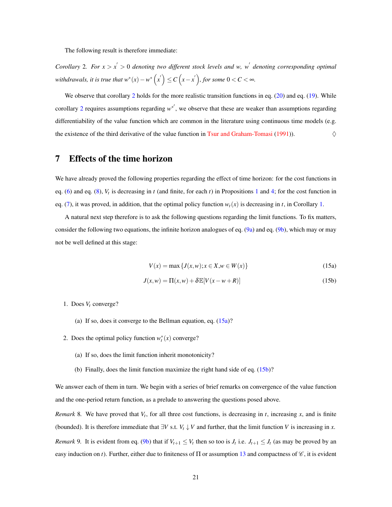The following result is therefore immediate:

<span id="page-21-0"></span>*Corollary* 2. For  $x > x' > 0$  denoting two different stock levels and w, w<sup>'</sup> denoting corresponding optimal  $$ 

We observe that corollary [2](#page-21-0) holds for the more realistic transition functions in eq. [\(20\)](#page-37-0) and eq. [\(19\)](#page-28-0). While corollary [2](#page-21-0) requires assumptions regarding  $w^*$ , we observe that these are weaker than assumptions regarding differentiability of the value function which are common in the literature using continuous time models (e.g. the existence of the third derivative of the value function in [Tsur and Graham-Tomasi](#page-35-0) [\(1991\)](#page-35-0)).  $\Diamond$ 

## 7 Effects of the time horizon

We have already proved the following properties regarding the effect of time horizon: for the cost functions in eq. [\(6\)](#page-8-0) and eq. [\(8\)](#page-11-3), *V<sup>t</sup>* is decreasing in *t* (and finite, for each *t*) in Propositions [1](#page-14-1) and [4;](#page-18-3) for the cost function in eq. [\(7\)](#page-9-3), it was proved, in addition, that the optimal policy function  $w_t(x)$  is decreasing in *t*, in Corollary [1.](#page-20-0)

A natural next step therefore is to ask the following questions regarding the limit functions. To fix matters, consider the following two equations, the infinite horizon analogues of eq.  $(9a)$  and eq.  $(9b)$ , which may or may not be well defined at this stage:

<span id="page-21-2"></span><span id="page-21-1"></span>
$$
V(x) = \max \{ J(x, w); x \in X, w \in W(x) \}
$$
 (15a)

$$
J(x, w) = \Pi(x, w) + \delta \mathbb{E}[V(x - w + R)]
$$
\n(15b)

<span id="page-21-5"></span>1. Does *V<sup>t</sup>* converge?

- (a) If so, does it converge to the Bellman equation, eq.  $(15a)$ ?
- <span id="page-21-7"></span><span id="page-21-6"></span>2. Does the optimal policy function  $w_t^*(x)$  converge?
	- (a) If so, does the limit function inherit monotonicity?
	- (b) Finally, does the limit function maximize the right hand side of eq. [\(15b\)](#page-21-2)?

<span id="page-21-8"></span>We answer each of them in turn. We begin with a series of brief remarks on convergence of the value function and the one-period return function, as a prelude to answering the questions posed above.

<span id="page-21-4"></span><span id="page-21-3"></span>*Remark* 8. We have proved that  $V_t$ , for all three cost functions, is decreasing in *t*, increasing *x*, and is finite (bounded). It is therefore immediate that  $\exists V$  s.t.  $V_t \downarrow V$  and further, that the limit function *V* is increasing in *x*. *Remark* 9. It is evident from eq. [\(9b\)](#page-13-9) that if  $V_{t+1} \leq V_t$  then so too is  $J_t$  i.e.  $J_{t+1} \leq J_t$  (as may be proved by an easy induction on *t*). Further, either due to finiteness of  $\Pi$  or assumption [13](#page-14-4) and compactness of  $\mathcal{C}$ , it is evident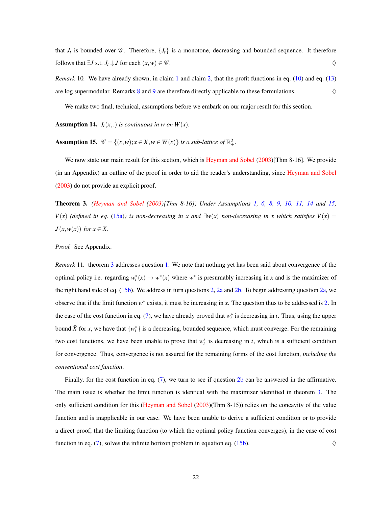that  $J_t$  is bounded over  $\mathscr{C}$ . Therefore,  $\{J_t\}$  is a monotone, decreasing and bounded sequence. It therefore follows that  $\exists J$  s.t.  $J_t \downarrow J$  for each  $(x, w) \in \mathscr{C}$ .

*Remark* [1](#page-16-0)0. We have already shown, in claim 1 and claim [2,](#page-18-1) that the profit functions in eq. [\(10\)](#page-14-2) and eq. [\(13\)](#page-17-3) are log supermodular. Remarks [8](#page-21-3) and [9](#page-21-4) are therefore directly applicable to these formulations.  $\Diamond$ 

We make two final, technical, assumptions before we embark on our major result for this section.

<span id="page-22-0"></span>Assumption 14.  $J_t(x,.)$  *is continuous in w on*  $W(x)$ *.* 

<span id="page-22-1"></span>Assumption 15.  $\mathscr{C} = \{(x, w); x \in X, w \in W(x)\}$  *is a sub-lattice of*  $\mathbb{R}^2_+$ *.* 

We now state our main result for this section, which is [Heyman and Sobel](#page-33-9) [\(2003\)](#page-33-9)[Thm 8-16]. We provide (in an Appendix) an outline of the proof in order to aid the reader's understanding, since [Heyman and Sobel](#page-33-9) [\(2003\)](#page-33-9) do not provide an explicit proof.

<span id="page-22-2"></span>Theorem 3. *[\(Heyman and Sobel](#page-33-9) [\(2003\)](#page-33-9)[Thm 8-16]) Under Assumptions [1,](#page-12-0) [6,](#page-13-0) [8,](#page-13-3) [9,](#page-13-4) [10,](#page-13-5) [11,](#page-13-6) [14](#page-22-0) and [15,](#page-22-1) V*(*x*) (defined in eq. [\(15a\)](#page-21-1)) is non-decreasing in x and  $\exists w(x)$  non-decreasing in x which satisfies  $V(x) =$  $J(x, w(x))$  *for*  $x \in X$ .

*Proof.* See Appendix.

*Remark* 11*.* theorem [3](#page-22-2) addresses question [1.](#page-21-5) We note that nothing yet has been said about convergence of the optimal policy i.e. regarding  $w_t^*(x) \to w^*(x)$  where  $w^*$  is presumably increasing in *x* and is the maximizer of the right hand side of eq.  $(15b)$ . We address in turn questions [2,](#page-21-6) [2a](#page-21-7) and [2b.](#page-21-8) To begin addressing question [2a,](#page-21-7) we observe that if the limit function  $w^*$  exists, it must be increasing in *x*. The question thus to be addressed is [2.](#page-21-6) In the case of the cost function in eq. [\(7\)](#page-9-3), we have already proved that  $w_t^*$  is decreasing in *t*. Thus, using the upper bound  $\bar{X}$  for *x*, we have that  $\{w_t^*\}$  is a decreasing, bounded sequence, which must converge. For the remaining two cost functions, we have been unable to prove that  $w_t^*$  is decreasing in *t*, which is a sufficient condition for convergence. Thus, convergence is not assured for the remaining forms of the cost function, *including the conventional cost function*.

Finally, for the cost function in eq. [\(7\)](#page-9-3), we turn to see if question [2b](#page-21-8) can be answered in the affirmative. The main issue is whether the limit function is identical with the maximizer identified in theorem [3.](#page-22-2) The only sufficient condition for this [\(Heyman and Sobel](#page-33-9) [\(2003\)](#page-33-9)(Thm 8-15)) relies on the concavity of the value function and is inapplicable in our case. We have been unable to derive a sufficient condition or to provide a direct proof, that the limiting function (to which the optimal policy function converges), in the case of cost function in eq. [\(7\)](#page-9-3), solves the infinite horizon problem in equation eq. [\(15b\)](#page-21-2).  $\Diamond$ 

 $\Box$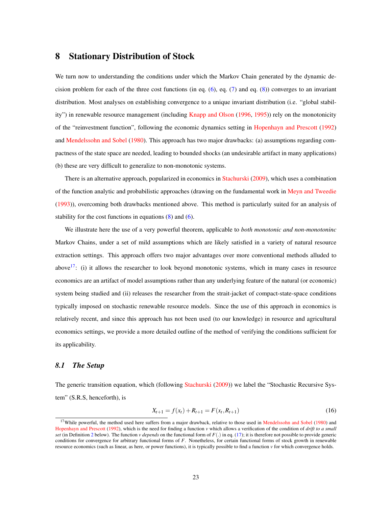## 8 Stationary Distribution of Stock

We turn now to understanding the conditions under which the Markov Chain generated by the dynamic decision problem for each of the three cost functions (in eq.  $(6)$ , eq.  $(7)$  and eq.  $(8)$ ) converges to an invariant distribution. Most analyses on establishing convergence to a unique invariant distribution (i.e. "global stability") in renewable resource management (including [Knapp and Olson](#page-33-4) [\(1996,](#page-33-4) [1995\)](#page-33-3)) rely on the monotonicity of the "reinvestment function", following the economic dynamics setting in [Hopenhayn and Prescott](#page-33-6) [\(1992\)](#page-33-6) and [Mendelssohn and Sobel](#page-33-5) [\(1980\)](#page-33-5). This approach has two major drawbacks: (a) assumptions regarding compactness of the state space are needed, leading to bounded shocks (an undesirable artifact in many applications) (b) these are very difficult to generalize to non-monotonic systems.

There is an alternative approach, popularized in economics in [Stachurski](#page-35-9) [\(2009\)](#page-35-9), which uses a combination of the function analytic and probabilistic approaches (drawing on the fundamental work in [Meyn and Tweedie](#page-34-12) [\(1993\)](#page-34-12)), overcoming both drawbacks mentioned above. This method is particularly suited for an analysis of stability for the cost functions in equations [\(8\)](#page-11-3) and [\(6\)](#page-8-0).

We illustrate here the use of a very powerful theorem, applicable to *both monotonic and non-monotoninc* Markov Chains, under a set of mild assumptions which are likely satisfied in a variety of natural resource extraction settings. This approach offers two major advantages over more conventional methods alluded to above<sup>[17](#page-23-0)</sup>: (i) it allows the researcher to look beyond monotonic systems, which in many cases in resource economics are an artifact of model assumptions rather than any underlying feature of the natural (or economic) system being studied and (ii) releases the researcher from the strait-jacket of compact-state-space conditions typically imposed on stochastic renewable resource models. Since the use of this approach in economics is relatively recent, and since this approach has not been used (to our knowledge) in resource and agricultural economics settings, we provide a more detailed outline of the method of verifying the conditions sufficient for its applicability.

#### *8.1 The Setup*

The generic transition equation, which (following [Stachurski](#page-35-9) [\(2009\)](#page-35-9)) we label the "Stochastic Recursive System" (S.R.S, henceforth), is

<span id="page-23-1"></span>
$$
X_{t+1} = f(x_t) + R_{t+1} = F(x_t, R_{t+1})
$$
\n(16)

<span id="page-23-0"></span><sup>&</sup>lt;sup>17</sup>While powerful, the method used here suffers from a major drawback, relative to those used in [Mendelssohn and Sobel](#page-33-5) [\(1980\)](#page-33-5) and [Hopenhayn and Prescott](#page-33-6) [\(1992\)](#page-33-6), which is the need for finding a function *v* which allows a verification of the condition of *drift to a small set* (in Definition [2](#page-24-0) below). The function *v depends* on the functional form of *F*(.) in eq. [\(17\)](#page-24-1); it is therefore not possible to provide generic conditions for convergence for arbitrary functional forms of *F*. Nonetheless, for certain functional forms of stock growth in renewable resource economics (such as linear, as here, or power functions), it is typically possible to find a function *v* for which convergence holds.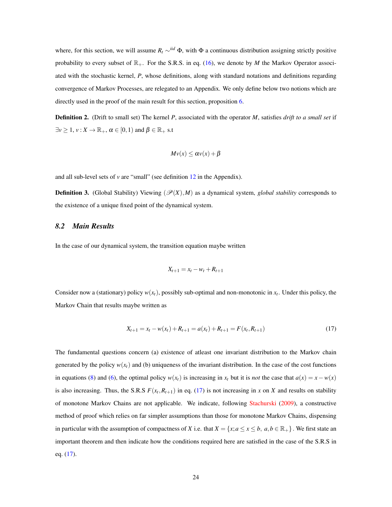where, for this section, we will assume  $R_t \sim^{iid} \Phi$ , with  $\Phi$  a continuous distribution assigning strictly positive probability to every subset of  $\mathbb{R}_+$ . For the S.R.S. in eq. [\(16\)](#page-23-1), we denote by *M* the Markov Operator associated with the stochastic kernel, *P*, whose definitions, along with standard notations and definitions regarding convergence of Markov Processes, are relegated to an Appendix. We only define below two notions which are directly used in the proof of the main result for this section, proposition [6.](#page-26-0)

<span id="page-24-0"></span>Definition 2. (Drift to small set) The kernel *P*, associated with the operator *M*, satisfies *drift to a small set* if  $\exists v \geq 1, v : X \to \mathbb{R}_+, \alpha \in [0,1)$  and  $\beta \in \mathbb{R}_+$  s.t

$$
Mv(x) \leq \alpha v(x) + \beta
$$

and all sub-level sets of  $v$  are "small" (see definition  $12$  in the Appendix).

**Definition 3.** (Global Stability) Viewing  $(\mathcal{P}(X), M)$  as a dynamical system, *global stability* corresponds to the existence of a unique fixed point of the dynamical system.

#### *8.2 Main Results*

In the case of our dynamical system, the transition equation maybe written

$$
X_{t+1}=x_t-w_t+R_{t+1}
$$

Consider now a (stationary) policy  $w(x_t)$ , possibly sub-optimal and non-monotonic in  $x_t$ . Under this policy, the Markov Chain that results maybe written as

<span id="page-24-1"></span>
$$
X_{t+1} = x_t - w(x_t) + R_{t+1} = a(x_t) + R_{t+1} = F(x_t, R_{t+1})
$$
\n(17)

The fundamental questions concern (a) existence of atleast one invariant distribution to the Markov chain generated by the policy  $w(x_t)$  and (b) uniqueness of the invariant distribution. In the case of the cost functions in equations [\(8\)](#page-11-3) and [\(6\)](#page-8-0), the optimal policy  $w(x_t)$  is increasing in  $x_t$  but it is *not* the case that  $a(x) = x - w(x)$ is also increasing. Thus, the S.R.S  $F(x_t, R_{t+1})$  in eq. [\(17\)](#page-24-1) is not increasing in *x* on *X* and results on stability of monotone Markov Chains are not applicable. We indicate, following [Stachurski](#page-35-9) [\(2009\)](#page-35-9), a constructive method of proof which relies on far simpler assumptions than those for monotone Markov Chains, dispensing in particular with the assumption of compactness of *X* i.e. that  $X = \{x; a \le x \le b, a, b \in \mathbb{R}_+\}$ . We first state an important theorem and then indicate how the conditions required here are satisfied in the case of the S.R.S in eq. [\(17\)](#page-24-1).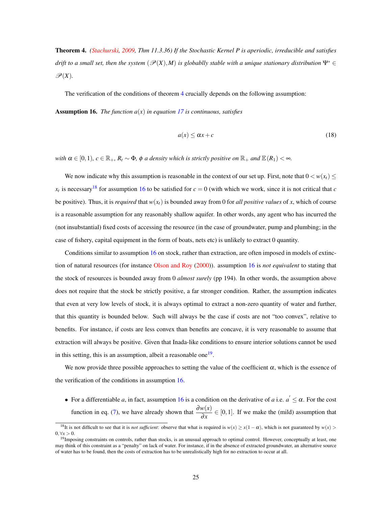<span id="page-25-0"></span>Theorem 4. *[\(Stachurski,](#page-35-9) [2009,](#page-35-9) Thm 11.3.36) If the Stochastic Kernel P is aperiodic, irreducible and satisfies drift to a small set, then the system*  $(\mathscr{P}(X),M)$  *is globablly stable with a unique stationary distribution*  $\Psi^* \in$  $\mathscr{P}(X)$ .

The verification of the conditions of theorem [4](#page-25-0) crucially depends on the following assumption:

<span id="page-25-2"></span>Assumption 16. *The function a*(*x*) *in equation [17](#page-24-1) is continuous, satisfies*

$$
a(x) \le \alpha x + c \tag{18}
$$

*with*  $\alpha \in [0,1)$ *,*  $c \in \mathbb{R}_+$ *,*  $R_t \sim \Phi$ *,*  $\phi$  *a density which is strictly positive on*  $\mathbb{R}_+$  *and*  $\mathbb{E}(R_1) < \infty$ *.* 

We now indicate why this assumption is reasonable in the context of our set up. First, note that  $0 < w(x_t) \le$  $x_t$  is necessary<sup>[18](#page-25-1)</sup> for assumption [16](#page-25-2) to be satisfied for  $c = 0$  (with which we work, since it is not critical that *c* be positive). Thus, it is *required* that  $w(x_t)$  is bounded away from 0 for *all positive values* of *x*, which of course is a reasonable assumption for any reasonably shallow aquifer. In other words, any agent who has incurred the (not insubstantial) fixed costs of accessing the resource (in the case of groundwater, pump and plumbing; in the case of fishery, capital equipment in the form of boats, nets etc) is unlikely to extract 0 quantity.

Conditions similar to assumption [16](#page-25-2) on stock, rather than extraction, are often imposed in models of extinction of natural resources (for instance [Olson and Roy](#page-34-3) [\(2000\)](#page-34-3)). assumption [16](#page-25-2) is *not equivalent* to stating that the stock of resources is bounded away from 0 *almost surely* (pp 194). In other words, the assumption above does not require that the stock be strictly positive, a far stronger condition. Rather, the assumption indicates that even at very low levels of stock, it is always optimal to extract a non-zero quantity of water and further, that this quantity is bounded below. Such will always be the case if costs are not "too convex", relative to benefits. For instance, if costs are less convex than benefits are concave, it is very reasonable to assume that extraction will always be positive. Given that Inada-like conditions to ensure interior solutions cannot be used in this setting, this is an assumption, albeit a reasonable one<sup>[19](#page-25-3)</sup>.

We now provide three possible approaches to setting the value of the coefficient  $\alpha$ , which is the essence of the verification of the conditions in assumption [16.](#page-25-2)

• For a differentiable *a*, in fact, assumption [16](#page-25-2) is a condition on the derivative of *a* i.e.  $a' \leq \alpha$ . For the cost function in eq. [\(7\)](#page-9-3), we have already shown that  $\frac{\partial w(x)}{\partial x} \in [0,1]$ . If we make the (mild) assumption that

<span id="page-25-1"></span><sup>&</sup>lt;sup>18</sup>It is not difficult to see that it is *not sufficient*: observe that what is required is  $w(x) \ge x(1-\alpha)$ , which is not guaranteed by  $w(x)$  $0, \forall x > 0.$ 

<span id="page-25-3"></span> $19$ Imposing constraints on controls, rather than stocks, is an unusual approach to optimal control. However, conceptually at least, one may think of this constraint as a "penalty" on lack of water. For instance, if in the absence of extracted groundwater, an alternative source of water has to be found, then the costs of extraction has to be unrealistically high for no extraction to occur at all.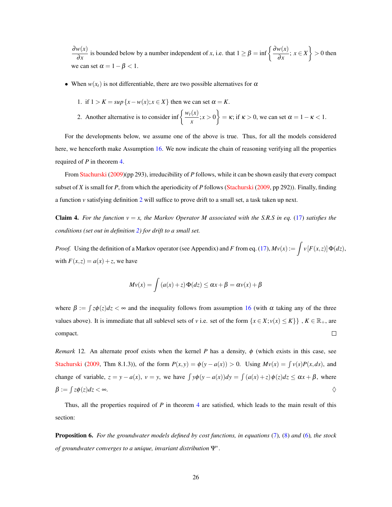∂*w*(*x*)  $\frac{w(x)}{\partial x}$  is bounded below by a number independent of *x*, i.e. that  $1 \ge \beta = \inf \left\{ \frac{\partial w(x)}{\partial x} \right\}$  $\left\{\frac{w(x)}{\partial x}; x \in X\right\} > 0$  then we can set  $\alpha = 1 - \beta < 1$ .

• When  $w(x_t)$  is not differentiable, there are two possible alternatives for  $\alpha$ 

1. if 
$$
1 > K = \sup \{x - w(x); x \in X\}
$$
 then we can set  $\alpha = K$ .

2. Another alternative is to consider inf  $\begin{cases} w_t(x) \\ 0 \end{cases}$  $\left\{\frac{(x)}{x}; x > 0\right\}$  = *k*; if *k* > 0, we can set  $\alpha = 1 - \kappa < 1$ .

For the developments below, we assume one of the above is true. Thus, for all the models considered here, we henceforth make Assumption [16.](#page-25-2) We now indicate the chain of reasoning verifying all the properties required of *P* in theorem [4.](#page-25-0)

From [Stachurski](#page-35-9) [\(2009\)](#page-35-9)(pp 293), irreducibility of *P* follows, while it can be shown easily that every compact subset of *X* is small for *P*, from which the aperiodicity of *P* follows [\(Stachurski](#page-35-9) [\(2009,](#page-35-9) pp 292)). Finally, finding a function *v* satisfying definition [2](#page-24-0) will suffice to prove drift to a small set, a task taken up next.

<span id="page-26-1"></span>**Claim 4.** For the function  $v = x$ , the Markov Operator M associated with the S.R.S in eq. [\(17\)](#page-24-1) satisfies the *conditions (set out in definition [2\)](#page-24-0) for drift to a small set.*

*Proof.* Using the definition of a Markov operator (see Appendix) and *F* from eq. [\(17\)](#page-24-1),  $Mv(x) := \int v[F(x, z)] \Phi(dz)$ , with  $F(x, z) = a(x) + z$ , we have

$$
Mv(x) = \int (a(x) + z) \Phi(dz) \leq \alpha x + \beta = \alpha v(x) + \beta
$$

where  $\beta := \int z\phi(z)dz < \infty$  and the inequality follows from assumption [16](#page-25-2) (with  $\alpha$  taking any of the three values above). It is immediate that all sublevel sets of *v* i.e. set of the form  $\{x \in X; v(x) \leq K\}$ ,  $K \in \mathbb{R}_+$ , are compact.  $\Box$ 

*Remark* 12. An alternate proof exists when the kernel *P* has a density,  $\phi$  (which exists in this case, see [Stachurski](#page-35-9) [\(2009,](#page-35-9) Thm 8.1.3)), of the form  $P(x, y) = \phi(y - a(x)) > 0$ . Using  $Mv(x) = \int v(s)P(x, ds)$ , and change of variable,  $z = y - a(x)$ ,  $v = y$ , we have  $\int y\phi(y - a(x))dy = \int (a(x) + z)\phi(z)dz \le \alpha x + \beta$ , where  $\beta := \int z \phi(z) dz < \infty.$ 

Thus, all the properties required of *P* in theorem [4](#page-25-0) are satisfied, which leads to the main result of this section:

<span id="page-26-0"></span>Proposition 6. *For the groundwater models defined by cost functions, in equations* [\(7\)](#page-9-3)*,* [\(8\)](#page-11-3) *and* [\(6\)](#page-8-0)*, the stock of groundwater converges to a unique, invariant distribution* Ψ<sup>∗</sup> .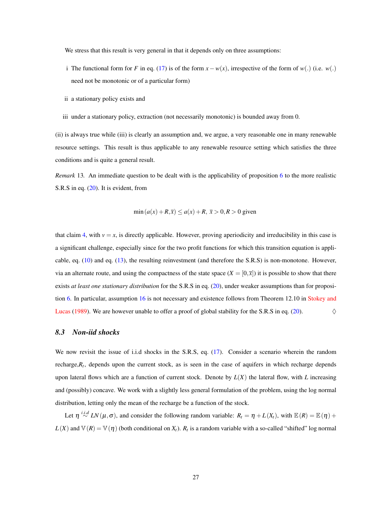We stress that this result is very general in that it depends only on three assumptions:

- i The functional form for *F* in eq. [\(17\)](#page-24-1) is of the form *x*−*w*(*x*), irrespective of the form of *w*(.) (i.e. *w*(.) need not be monotonic or of a particular form)
- ii a stationary policy exists and
- iii under a stationary policy, extraction (not necessarily monotonic) is bounded away from 0.

(ii) is always true while (iii) is clearly an assumption and, we argue, a very reasonable one in many renewable resource settings. This result is thus applicable to any renewable resource setting which satisfies the three conditions and is quite a general result.

*Remark* 13. An immediate question to be dealt with is the applicability of proposition [6](#page-26-0) to the more realistic S.R.S in eq. [\(20\)](#page-37-0). It is evident, from

$$
\min(a(x) + R, \overline{x}) \le a(x) + R, \overline{x} > 0, R > 0
$$
 given

that claim [4,](#page-26-1) with  $v = x$ , is directly applicable. However, proving aperiodicity and irreducibility in this case is a significant challenge, especially since for the two profit functions for which this transition equation is applicable, eq. [\(10\)](#page-14-2) and eq. [\(13\)](#page-17-3), the resulting reinvestment (and therefore the S.R.S) is non-monotone. However, via an alternate route, and using the compactness of the state space  $(X = [0, \bar{x}]$ ) it is possible to show that there exists *at least one stationary distribution* for the S.R.S in eq. [\(20\)](#page-37-0), under weaker assumptions than for proposi-tion [6.](#page-26-0) In particular, assumption [16](#page-25-2) is not necessary and existence follows from Theorem 12.10 in [Stokey and](#page-35-3) [Lucas](#page-35-3) [\(1989\)](#page-35-3). We are however unable to offer a proof of global stability for the S.R.S in eq. [\(20\)](#page-37-0).  $\Diamond$ 

#### *8.3 Non-iid shocks*

We now revisit the issue of i.i.d shocks in the S.R.S, eq. [\(17\)](#page-24-1). Consider a scenario wherein the random recharge,*R<sup>t</sup>* , depends upon the current stock, as is seen in the case of aquifers in which recharge depends upon lateral flows which are a function of current stock. Denote by  $L(X)$  the lateral flow, with *L* increasing and (possibly) concave. We work with a slightly less general formulation of the problem, using the log normal distribution, letting only the mean of the recharge be a function of the stock.

Let  $\eta \stackrel{i.i.d}{\sim} LN(\mu, \sigma)$ , and consider the following random variable:  $R_t = \eta + L(X_t)$ , with  $\mathbb{E}(R) = \mathbb{E}(\eta) +$  $L(X)$  and  $\mathbb{V}(R) = \mathbb{V}(\eta)$  (both conditional on  $X_t$ ).  $R_t$  is a random variable with a so-called "shifted" log normal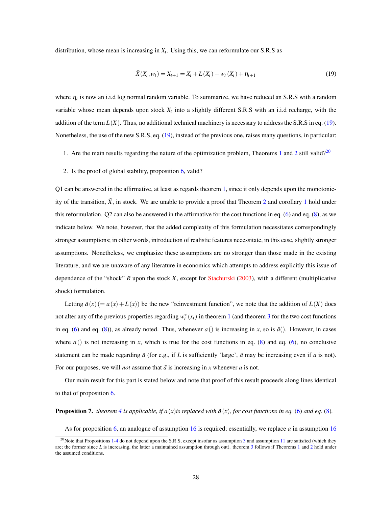distribution, whose mean is increasing in  $X_t$ . Using this, we can reformulate our S.R.S as

<span id="page-28-0"></span>
$$
\tilde{X}(X_t, w_t) = X_{t+1} = X_t + L(X_t) - w_t(X_t) + \eta_{t+1}
$$
\n(19)

where  $\eta_t$  is now an i.i.d log normal random variable. To summarize, we have reduced an S.R.S with a random variable whose mean depends upon stock  $X_t$  into a slightly different S.R.S with an i.i.d recharge, with the addition of the term  $L(X)$ . Thus, no additional technical machinery is necessary to address the S.R.S in eq. [\(19\)](#page-28-0). Nonetheless, the use of the new S.R.S, eq. [\(19\)](#page-28-0), instead of the previous one, raises many questions, in particular:

- [1](#page-14-5). Are the main results regarding the nature of the optimization problem, Theorems 1 and [2](#page-19-0) still valid?<sup>[20](#page-28-1)</sup>
- 2. Is the proof of global stability, proposition [6,](#page-26-0) valid?

Q1 can be answered in the affirmative, at least as regards theorem [1,](#page-14-5) since it only depends upon the monotonicity of the transition,  $\tilde{X}$ , in stock. We are unable to provide a proof that Theorem [2](#page-19-0) and corollary [1](#page-20-0) hold under this reformulation. Q2 can also be answered in the affirmative for the cost functions in eq. [\(6\)](#page-8-0) and eq. [\(8\)](#page-11-3), as we indicate below. We note, however, that the added complexity of this formulation necessitates correspondingly stronger assumptions; in other words, introduction of realistic features necessitate, in this case, slightly stronger assumptions. Nonetheless, we emphasize these assumptions are no stronger than those made in the existing literature, and we are unaware of any literature in economics which attempts to address explicitly this issue of dependence of the "shock" *R* upon the stock *X*, except for [Stachurski](#page-35-10) [\(2003\)](#page-35-10), with a different (multiplicative shock) formulation.

Letting  $\tilde{a}(x)$  (=  $a(x) + L(x)$ ) be the new "reinvestment function", we note that the addition of  $L(X)$  does not alter any of the previous properties regarding  $w_t^*(x_t)$  in theorem [1](#page-14-5) (and theorem [3](#page-22-2) for the two cost functions in eq. [\(6\)](#page-8-0) and eq. [\(8\)](#page-11-3)), as already noted. Thus, whenever  $a()$  is increasing in *x*, so is  $\tilde{a}(.)$ . However, in cases where  $a()$  is not increasing in x, which is true for the cost functions in eq. [\(8\)](#page-11-3) and eq. [\(6\)](#page-8-0), no conclusive statement can be made regarding  $\tilde{a}$  (for e.g., if L is sufficiently 'large',  $\tilde{a}$  may be increasing even if  $a$  is not). For our purposes, we will *not* assume that  $\tilde{a}$  is increasing in  $x$  whenever  $a$  is not.

Our main result for this part is stated below and note that proof of this result proceeds along lines identical to that of proposition [6.](#page-26-0)

**Proposition 7.** *theorem* [4](#page-25-0) *is applicable, if*  $a(x)$ *is replaced with*  $\tilde{a}(x)$ *, for cost functions in eq.* [\(6\)](#page-8-0) *and eq.* [\(8\)](#page-11-3)*.* 

As for proposition [6,](#page-26-0) an analogue of assumption [16](#page-25-2) is required; essentially, we replace *a* in assumption [16](#page-25-2)

<span id="page-28-1"></span> $20$ Note that Propositions [1-](#page-14-1)[4](#page-18-3) do not depend upon the S.R.S, except insofar as assumption [3](#page-12-3) and assumption [11](#page-13-6) are satisfied (which they are; the former since *L* is increasing, the latter a maintained assumption through out). theorem [3](#page-22-2) follows if Theorems [1](#page-14-5) and [2](#page-19-0) hold under the assumed conditions.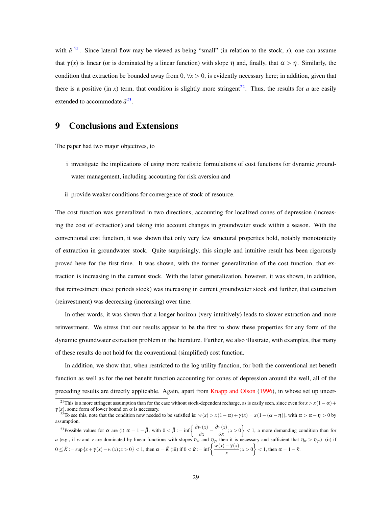with  $\tilde{a}^{21}$  $\tilde{a}^{21}$  $\tilde{a}^{21}$ . Since lateral flow may be viewed as being "small" (in relation to the stock, *x*), one can assume that  $\gamma(x)$  is linear (or is dominated by a linear function) with slope  $\eta$  and, finally, that  $\alpha > \eta$ . Similarly, the condition that extraction be bounded away from 0,  $\forall x > 0$ , is evidently necessary here; in addition, given that there is a positive (in x) term, that condition is slightly more stringent<sup>[22](#page-29-1)</sup>. Thus, the results for *a* are easily extended to accommodate  $\tilde{a}^{23}$  $\tilde{a}^{23}$  $\tilde{a}^{23}$ .

## 9 Conclusions and Extensions

The paper had two major objectives, to

- i investigate the implications of using more realistic formulations of cost functions for dynamic groundwater management, including accounting for risk aversion and
- ii provide weaker conditions for convergence of stock of resource.

The cost function was generalized in two directions, accounting for localized cones of depression (increasing the cost of extraction) and taking into account changes in groundwater stock within a season. With the conventional cost function, it was shown that only very few structural properties hold, notably monotonicity of extraction in groundwater stock. Quite surprisingly, this simple and intuitive result has been rigorously proved here for the first time. It was shown, with the former generalization of the cost function, that extraction is increasing in the current stock. With the latter generalization, however, it was shown, in addition, that reinvestment (next periods stock) was increasing in current groundwater stock and further, that extraction (reinvestment) was decreasing (increasing) over time.

In other words, it was shown that a longer horizon (very intuitively) leads to slower extraction and more reinvestment. We stress that our results appear to be the first to show these properties for any form of the dynamic groundwater extraction problem in the literature. Further, we also illustrate, with examples, that many of these results do not hold for the conventional (simplified) cost function.

In addition, we show that, when restricted to the log utility function, for both the conventional net benefit function as well as for the net benefit function accounting for cones of depression around the well, all of the preceding results are directly applicable. Again, apart from [Knapp and Olson](#page-33-4) [\(1996\)](#page-33-4), in whose set up uncer-

<span id="page-29-0"></span><sup>&</sup>lt;sup>21</sup>This is a more stringent assumption than for the case without stock-dependent recharge, as is easily seen, since even for  $x > x(1 - \alpha)$  +  $\gamma(x)$ , some form of lower bound on  $\alpha$  is necessary.

<span id="page-29-1"></span><sup>&</sup>lt;sup>22</sup>To see this, note that the condition now needed to be satisfied is:  $w(x) > x(1-\alpha) + \gamma(x) = x(1-(\alpha-\eta))$ , with  $\alpha > \alpha - \eta > 0$  by assumption.

<span id="page-29-2"></span><sup>&</sup>lt;sup>23</sup>Possible values for  $\alpha$  are (i)  $\alpha = 1 - \tilde{\beta}$ , with  $0 < \tilde{\beta} := \inf \left\{ \frac{\partial w(x)}{\partial x} \right\}$  $\frac{\partial v(x)}{\partial x} - \frac{\partial v(x)}{\partial x}$  $\left\{\frac{v(x)}{\partial x}; x > 0\right\}$  < 1, a more demanding condition than for *a* (e.g., if *w* and *v* are dominated by linear functions with slopes  $\eta_w$  and  $\eta_\gamma$ , then it is necessary and sufficient that  $\eta_w > \eta_\gamma$ .) (ii) if  $0 \leq \tilde{K} := \sup\{x + \gamma(x) - w(x); x > 0\} < 1$ , then  $\alpha = \tilde{K}$  (iii) if  $0 < \tilde{\kappa} := \inf\left\{\frac{w(x) - \gamma(x)}{w(x)}\right\}$  $\left\{\frac{-\gamma(x)}{x}; x > 0\right\} < 1$ , then  $\alpha = 1 - \tilde{\kappa}$ .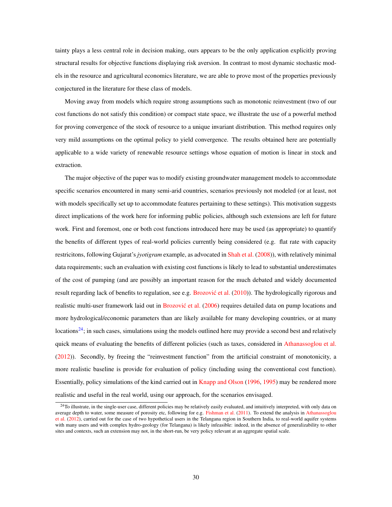tainty plays a less central role in decision making, ours appears to be the only application explicitly proving structural results for objective functions displaying risk aversion. In contrast to most dynamic stochastic models in the resource and agricultural economics literature, we are able to prove most of the properties previously conjectured in the literature for these class of models.

Moving away from models which require strong assumptions such as monotonic reinvestment (two of our cost functions do not satisfy this condition) or compact state space, we illustrate the use of a powerful method for proving convergence of the stock of resource to a unique invariant distribution. This method requires only very mild assumptions on the optimal policy to yield convergence. The results obtained here are potentially applicable to a wide variety of renewable resource settings whose equation of motion is linear in stock and extraction.

The major objective of the paper was to modify existing groundwater management models to accommodate specific scenarios encountered in many semi-arid countries, scenarios previously not modeled (or at least, not with models specifically set up to accommodate features pertaining to these settings). This motivation suggests direct implications of the work here for informing public policies, although such extensions are left for future work. First and foremost, one or both cost functions introduced here may be used (as appropriate) to quantify the benefits of different types of real-world policies currently being considered (e.g. flat rate with capacity restricitons, following Gujarat's *jyotigram* example, as advocated in [Shah et al.](#page-34-7) [\(2008\)](#page-34-7)), with relatively minimal data requirements; such an evaluation with existing cost functions is likely to lead to substantial underestimates of the cost of pumping (and are possibly an important reason for the much debated and widely documented result regarding lack of benefits to regulation, see e.g. Brozović et al. [\(2010\)](#page-32-10)). The hydrologically rigorous and realistic multi-user framework laid out in Brozović et al. [\(2006\)](#page-32-9) requires detailed data on pump locations and more hydrological/economic parameters than are likely available for many developing countries, or at many locations<sup>[24](#page-30-0)</sup>; in such cases, simulations using the models outlined here may provide a second best and relatively quick means of evaluating the benefits of different policies (such as taxes, considered in [Athanassoglou et al.](#page-32-8) [\(2012\)](#page-32-8)). Secondly, by freeing the "reinvestment function" from the artificial constraint of monotonicity, a more realistic baseline is provide for evaluation of policy (including using the conventional cost function). Essentially, policy simulations of the kind carried out in [Knapp and Olson](#page-33-4) [\(1996,](#page-33-4) [1995\)](#page-33-3) may be rendered more realistic and useful in the real world, using our approach, for the scenarios envisaged.

<span id="page-30-0"></span><sup>&</sup>lt;sup>24</sup>To illustrate, in the single-user case, different policies may be relatively easily evaluated, and intuitively interpreted, with only data on average depth to water, some measure of porosity etc, following for e.g. [Fishman et al.](#page-32-7) [\(2011\)](#page-32-7). To extend the analysis in [Athanassoglou](#page-32-8) [et al.](#page-32-8) [\(2012\)](#page-32-8), carried out for the case of two hypothetical users in the Telangana region in Southern India, to real-world aquifer systems with many users and with complex hydro-geology (for Telangana) is likely infeasible: indeed, in the absence of generalizability to other sites and contexts, such an extension may not, in the short-run, be very policy relevant at an aggregate spatial scale.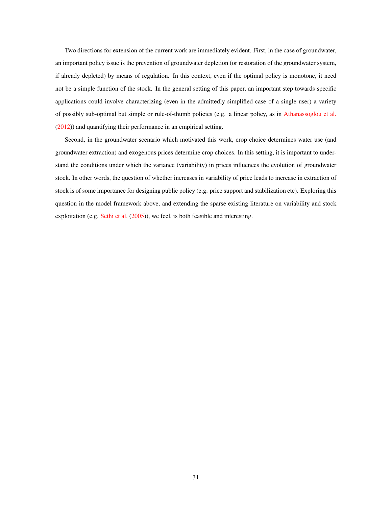Two directions for extension of the current work are immediately evident. First, in the case of groundwater, an important policy issue is the prevention of groundwater depletion (or restoration of the groundwater system, if already depleted) by means of regulation. In this context, even if the optimal policy is monotone, it need not be a simple function of the stock. In the general setting of this paper, an important step towards specific applications could involve characterizing (even in the admittedly simplified case of a single user) a variety of possibly sub-optimal but simple or rule-of-thumb policies (e.g. a linear policy, as in [Athanassoglou et al.](#page-32-8) [\(2012\)](#page-32-8)) and quantifying their performance in an empirical setting.

Second, in the groundwater scenario which motivated this work, crop choice determines water use (and groundwater extraction) and exogenous prices determine crop choices. In this setting, it is important to understand the conditions under which the variance (variability) in prices influences the evolution of groundwater stock. In other words, the question of whether increases in variability of price leads to increase in extraction of stock is of some importance for designing public policy (e.g. price support and stabilization etc). Exploring this question in the model framework above, and extending the sparse existing literature on variability and stock exploitation (e.g. [Sethi et al.](#page-34-13) [\(2005\)](#page-34-13)), we feel, is both feasible and interesting.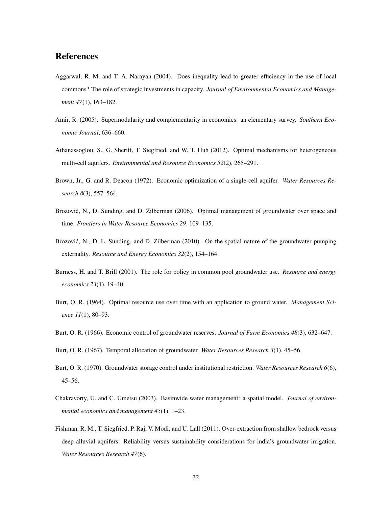## References

- <span id="page-32-5"></span>Aggarwal, R. M. and T. A. Narayan (2004). Does inequality lead to greater efficiency in the use of local commons? The role of strategic investments in capacity. *Journal of Environmental Economics and Management 47*(1), 163–182.
- <span id="page-32-12"></span>Amir, R. (2005). Supermodularity and complementarity in economics: an elementary survey. *Southern Economic Journal*, 636–660.
- <span id="page-32-8"></span>Athanassoglou, S., G. Sheriff, T. Siegfried, and W. T. Huh (2012). Optimal mechanisms for heterogeneous multi-cell aquifers. *Environmental and Resource Economics 52*(2), 265–291.
- <span id="page-32-1"></span>Brown, Jr., G. and R. Deacon (1972). Economic optimization of a single-cell aquifer. *Water Resources Research 8*(3), 557–564.
- <span id="page-32-9"></span>Brozović, N., D. Sunding, and D. Zilberman (2006). Optimal management of groundwater over space and time. *Frontiers in Water Resource Economics 29*, 109–135.
- <span id="page-32-10"></span>Brozović, N., D. L. Sunding, and D. Zilberman (2010). On the spatial nature of the groundwater pumping externality. *Resource and Energy Economics 32*(2), 154–164.
- <span id="page-32-11"></span>Burness, H. and T. Brill (2001). The role for policy in common pool groundwater use. *Resource and energy economics 23*(1), 19–40.
- <span id="page-32-0"></span>Burt, O. R. (1964). Optimal resource use over time with an application to ground water. *Management Science 11*(1), 80–93.
- <span id="page-32-2"></span>Burt, O. R. (1966). Economic control of groundwater reserves. *Journal of Farm Economics 48*(3), 632–647.
- <span id="page-32-3"></span>Burt, O. R. (1967). Temporal allocation of groundwater. *Water Resources Research 3*(1), 45–56.
- <span id="page-32-4"></span>Burt, O. R. (1970). Groundwater storage control under institutional restriction. *Water Resources Research 6*(6), 45–56.
- <span id="page-32-6"></span>Chakravorty, U. and C. Umetsu (2003). Basinwide water management: a spatial model. *Journal of environmental economics and management 45*(1), 1–23.
- <span id="page-32-7"></span>Fishman, R. M., T. Siegfried, P. Raj, V. Modi, and U. Lall (2011). Over-extraction from shallow bedrock versus deep alluvial aquifers: Reliability versus sustainability considerations for india's groundwater irrigation. *Water Resources Research 47*(6).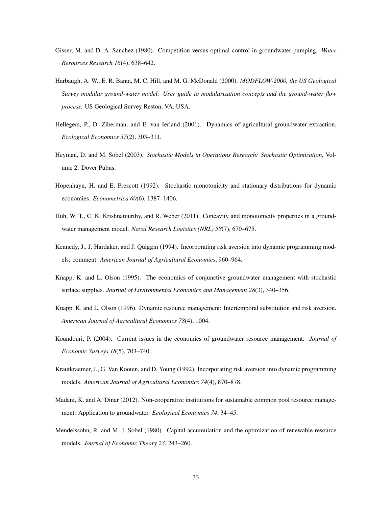- <span id="page-33-1"></span>Gisser, M. and D. A. Sanchez (1980). Competition versus optimal control in groundwater pumping. *Water Resources Research 16*(4), 638–642.
- <span id="page-33-8"></span>Harbaugh, A. W., E. R. Banta, M. C. Hill, and M. G. McDonald (2000). *MODFLOW-2000, the US Geological Survey modular ground-water model: User guide to modularization concepts and the ground-water flow process*. US Geological Survey Reston, VA, USA.
- <span id="page-33-2"></span>Hellegers, P., D. Ziberman, and E. van Ierland (2001). Dynamics of agricultural groundwater extraction. *Ecological Economics 37*(2), 303–311.
- <span id="page-33-9"></span>Heyman, D. and M. Sobel (2003). *Stochastic Models in Operations Research: Stochastic Optimization*, Volume 2. Dover Pubns.
- <span id="page-33-6"></span>Hopenhayn, H. and E. Prescott (1992). Stochastic monotonicity and stationary distributions for dynamic economies. *Econometrica 60*(6), 1387–1406.
- <span id="page-33-12"></span>Huh, W. T., C. K. Krishnamurthy, and R. Weber (2011). Concavity and monotonicity properties in a groundwater management model. *Naval Research Logistics (NRL) 58*(7), 670–675.
- <span id="page-33-11"></span>Kennedy, J., J. Hardaker, and J. Quiggin (1994). Incorporating risk aversion into dynamic programming models: comment. *American Journal of Agricultural Economics*, 960–964.
- <span id="page-33-3"></span>Knapp, K. and L. Olson (1995). The economics of conjunctive groundwater management with stochastic surface supplies. *Journal of Environmental Economics and Management 28*(3), 340–356.
- <span id="page-33-4"></span>Knapp, K. and L. Olson (1996). Dynamic resource management: Intertemporal substitution and risk aversion. *American Journal of Agricultural Economics 78*(4), 1004.
- <span id="page-33-0"></span>Koundouri, P. (2004). Current issues in the economics of groundwater resource management. *Journal of Economic Surveys 18*(5), 703–740.
- <span id="page-33-10"></span>Krautkraemer, J., G. Van Kooten, and D. Young (1992). Incorporating risk aversion into dynamic programming models. *American Journal of Agricultural Economics 74*(4), 870–878.
- <span id="page-33-7"></span>Madani, K. and A. Dinar (2012). Non-cooperative institutions for sustainable common pool resource management: Application to groundwater. *Ecological Economics 74*, 34–45.
- <span id="page-33-5"></span>Mendelssohn, R. and M. J. Sobel (1980). Capital accumulation and the optimization of renewable resource models. *Journal of Economic Theory 23*, 243–260.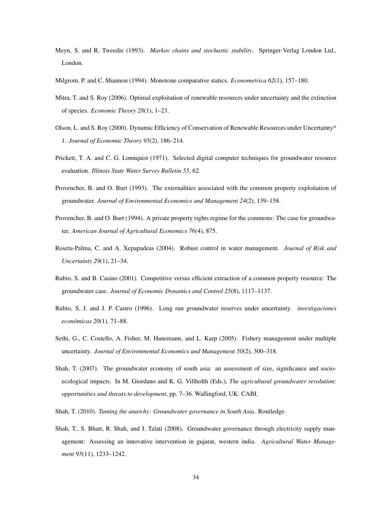- <span id="page-34-12"></span>Meyn, S. and R. Tweedie (1993). *Markov chains and stochastic stability*. Springer-Verlag London Ltd., London.
- <span id="page-34-11"></span>Milgrom, P. and C. Shannon (1994). Monotone comparative statics. *Econometrica 62*(1), 157–180.
- <span id="page-34-4"></span>Mitra, T. and S. Roy (2006). Optimal exploitation of renewable resources under uncertainty and the extinction of species. *Economic Theory 28*(1), 1–23.
- <span id="page-34-3"></span>Olson, L. and S. Roy (2000). Dynamic Efficiency of Conservation of Renewable Resources under Uncertainty\* 1. *Journal of Economic Theory 95*(2), 186–214.
- <span id="page-34-10"></span>Prickett, T. A. and C. G. Lonnquist (1971). Selected digital computer techniques for groundwater resource evaluation. *Illinois State Water Survey Bulletin 55*, 62.
- <span id="page-34-2"></span>Provencher, B. and O. Burt (1993). The externalities associated with the common property exploitation of groundwater. *Journal of Environmental Economics and Management 24*(2), 139–158.
- <span id="page-34-9"></span>Provencher, B. and O. Burt (1994). A private property rights regime for the commons: The case for groundwater. *American Journal of Agricultural Economics 76*(4), 875.
- <span id="page-34-0"></span>Roseta-Palma, C. and A. Xepapadeas (2004). Robust control in water management. *Journal of Risk and Uncertainty 29*(1), 21–34.
- <span id="page-34-1"></span>Rubio, S. and B. Casino (2001). Competitive versus efficient extraction of a common property resource: The groundwater case. *Journal of Economic Dynamics and Control 25*(8), 1117–1137.
- <span id="page-34-8"></span>Rubio, S. J. and J. P. Castro (1996). Long run groundwater reserves under uncertainty. *investigaciones económicas* 20(1), 71–88.
- <span id="page-34-13"></span>Sethi, G., C. Costello, A. Fisher, M. Hanemann, and L. Karp (2005). Fishery management under multiple uncertainty. *Journal of Environmental Economics and Management 50*(2), 300–318.
- <span id="page-34-5"></span>Shah, T. (2007). The groundwater economy of south asia: an assessment of size, significance and socioecological impacts. In M. Giordano and K. G. Villholth (Eds.), *The agricultural groundwater revolution: opportunities and threats to development*, pp. 7–36. Wallingford, UK: CABI.
- <span id="page-34-6"></span>Shah, T. (2010). *Taming the anarchy: Groundwater governance in South Asia*. Routledge.
- <span id="page-34-7"></span>Shah, T., S. Bhatt, R. Shah, and J. Talati (2008). Groundwater governance through electricity supply management: Assessing an innovative intervention in gujarat, western india. *Agricultural Water Management 95*(11), 1233–1242.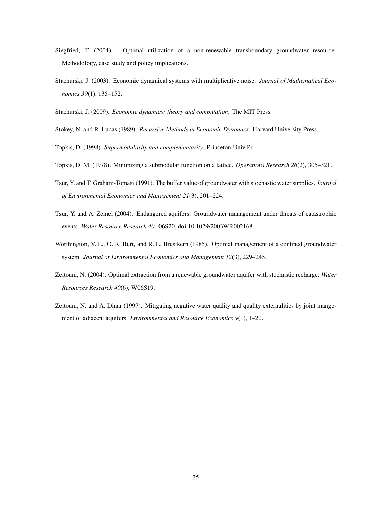- <span id="page-35-6"></span>Siegfried, T. (2004). Optimal utilization of a non-renewable transboundary groundwater resource-Methodology, case study and policy implications.
- <span id="page-35-10"></span>Stachurski, J. (2003). Economic dynamical systems with multiplicative noise. *Journal of Mathematical Economics 39*(1), 135–152.
- <span id="page-35-9"></span>Stachurski, J. (2009). *Economic dynamics: theory and computation*. The MIT Press.
- <span id="page-35-3"></span>Stokey, N. and R. Lucas (1989). *Recursive Methods in Economic Dynamics*. Harvard University Press.
- <span id="page-35-8"></span>Topkis, D. (1998). *Supermodularity and complementarity*. Princeton Univ Pr.
- <span id="page-35-7"></span>Topkis, D. M. (1978). Minimizing a submodular function on a lattice. *Operations Research 26*(2), 305–321.
- <span id="page-35-0"></span>Tsur, Y. and T. Graham-Tomasi (1991). The buffer value of groundwater with stochastic water supplies. *Journal of Environmental Economics and Management 21*(3), 201–224.
- <span id="page-35-1"></span>Tsur, Y. and A. Zemel (2004). Endangered aquifers: Groundwater management under threats of catastrophic events. *Water Resource Research 40*. 06S20, doi:10.1029/2003WR002168.
- <span id="page-35-4"></span>Worthington, V. E., O. R. Burt, and R. L. Brustkern (1985). Optimal management of a confined groundwater system. *Journal of Environmental Economics and Management 12*(3), 229–245.
- <span id="page-35-2"></span>Zeitouni, N. (2004). Optimal extraction from a renewable groundwater aquifer with stochastic recharge. *Water Resources Research 40*(6), W06S19.
- <span id="page-35-5"></span>Zeitouni, N. and A. Dinar (1997). Mitigating negative water quality and quality externalities by joint mangement of adjacent aquifers. *Environmental and Resource Economics 9*(1), 1–20.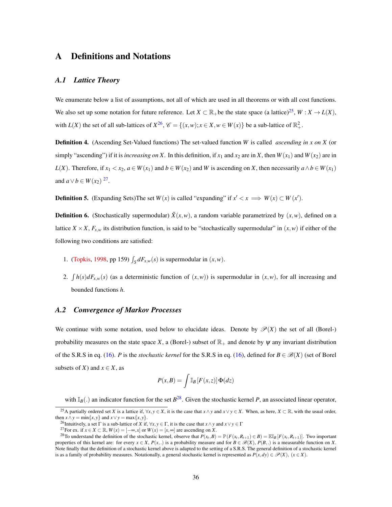## A Definitions and Notations

#### *A.1 Lattice Theory*

We enumerate below a list of assumptions, not all of which are used in all theorems or with all cost functions. We also set up some notation for future reference. Let  $X \subset \mathbb{R}_+$  be the state space (a lattice)<sup>[25](#page-36-0)</sup>,  $W: X \to L(X)$ , with  $L(X)$  the set of all sub-lattices of  $X^{26}$  $X^{26}$  $X^{26}$ ,  $\mathcal{C} = \{(x, w): x \in X, w \in W(x)\}$  be a sub-lattice of  $\mathbb{R}^2_+$ .

Definition 4. (Ascending Set-Valued functions) The set-valued function *W* is called *ascending in x on X* (or simply "ascending") if it is *increasing on X*. In this definition, if  $x_1$  and  $x_2$  are in *X*, then  $W(x_1)$  and  $W(x_2)$  are in *L*(*X*). Therefore, if *x*<sub>1</sub> < *x*<sub>2</sub>, *a* ∈ *W*(*x*<sub>1</sub>) and *b* ∈ *W*(*x*<sub>2</sub>) and *W* is ascending on *X*, then necessarily *a* ∧*b* ∈ *W*(*x*<sub>1</sub>) and  $a \vee b \in W(x_2)$  <sup>[27](#page-36-2)</sup>.

**Definition 5.** (Expanding Sets)The set  $W(x)$  is called "expanding" if  $x' < x \implies W(x) \subset W(x')$ .

**Definition 6.** (Stochastically supermodular)  $\tilde{X}(x, w)$ , a random variable parametrized by  $(x, w)$ , defined on a lattice  $X \times X$ ,  $F_{x,w}$  its distribution function, is said to be "stochastically supermodular" in  $(x, w)$  if either of the following two conditions are satisfied:

- 1. [\(Topkis,](#page-35-8) [1998,](#page-35-8) pp 159)  $\int_S dF_{x,w}(s)$  is supermodular in  $(x, w)$ .
- 2.  $\int h(s) dF_{x,w}(s)$  (as a deterministic function of  $(x, w)$ ) is supermodular in  $(x, w)$ , for all increasing and bounded functions *h*.

#### *A.2 Convergence of Markov Processes*

We continue with some notation, used below to elucidate ideas. Denote by  $\mathcal{P}(X)$  the set of all (Borel-) probability measures on the state space *X*, a (Borel-) subset of  $\mathbb{R}_+$  and denote by  $\psi$  any invariant distribution of the S.R.S in eq. [\(16\)](#page-23-1). *P* is the *stochastic kernel* for the S.R.S in eq. (16), defined for  $B \in \mathcal{B}(X)$  (set of Borel subsets of *X*) and  $x \in X$ , as

$$
P(x,B) = \int \mathbb{I}_B [F(x,z)] \, \Phi(dz)
$$

with  $\mathbb{I}_B(.)$  an indicator function for the set  $B^{28}$  $B^{28}$  $B^{28}$ . Given the stochastic kernel P, an associated linear operator,

<span id="page-36-0"></span><sup>&</sup>lt;sup>25</sup>A partially ordered set *X* is a lattice if,  $\forall x, y \in X$ , it is the case that  $x \wedge y$  and  $x \vee y \in X$ . When, as here,  $X \subset \mathbb{R}$ , with the usual order, then  $x \wedge y = \min\{x, y\}$  and  $x \vee y = \max\{x, y\}.$ 

<span id="page-36-1"></span><sup>&</sup>lt;sup>26</sup>Intuitively, a set  $\Gamma$  is a sub-lattice of *X* if,  $\forall x, y \in \Gamma$ , it is the case that  $x \wedge y$  and  $x \vee y \in \Gamma$ 

<span id="page-36-3"></span><span id="page-36-2"></span><sup>&</sup>lt;sup>27</sup>For ex. if  $x \in X \subset \mathbb{R}$ ,  $W(x) = [-\infty, x]$  or  $W(x) = [x, \infty]$  are ascending on *X*.

<sup>&</sup>lt;sup>28</sup>To understand the definition of the stochastic kernel, observe that  $P(x_t, B) = \mathbb{P}(F(x_t, R_{t+1}) \in B) = \mathbb{E}I_B[F(x_t, R_{t+1})]$ . Two important properties of this kernel are: for every  $x \in X$ ,  $P(x,.)$  is a probability measure and for  $B \in \mathcal{B}(X)$ ,  $P(B,.)$  is a measurable function on *X*. Note finally that the definition of a stochastic kernel above is adapted to the setting of a S.R.S. The general definition of a stochastic kernel is as a family of probability measures. Notationally, a general stochastic kernel is represented as  $P(x, dy) \in \mathcal{P}(X)$ ,  $(x \in X)$ .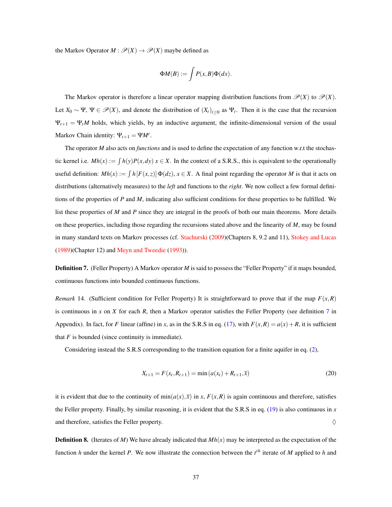the Markov Operator  $M : \mathcal{P}(X) \to \mathcal{P}(X)$  maybe defined as

$$
\Phi M(B) := \int P(x, B) \Phi(dx).
$$

The Markov operator is therefore a linear operator mapping distribution functions from  $\mathcal{P}(X)$  to  $\mathcal{P}(X)$ . Let  $X_0 \sim \Psi$ ,  $\Psi \in \mathscr{P}(X)$ , and denote the distribution of  $(X_t)_{t \geq 0}$  as  $\Psi_t$ . Then it is the case that the recursion  $\Psi_{t+1} = \Psi_t M$  holds, which yields, by an inductive argument, the infinite-dimensional version of the usual Markov Chain identity:  $\Psi_{t+1} = \Psi M^t$ .

The operator *M* also acts on *functions* and is used to define the expectation of any function w.r.t the stochastic kernel i.e.  $Mh(x) := \int h(y)P(x, dy) x \in X$ . In the context of a S.R.S., this is equivalent to the operationally useful definition:  $Mh(x) := \int h[F(x, z)] \Phi(dz)$ ,  $x \in X$ . A final point regarding the operator *M* is that it acts on distributions (alternatively measures) to the *left* and functions to the *right*. We now collect a few formal definitions of the properties of *P* and *M*, indicating also sufficient conditions for these properties to be fulfilled. We list these properties of *M* and *P* since they are integral in the proofs of both our main theorems. More details on these properties, including those regarding the recursions stated above and the linearity of *M*, may be found in many standard texts on Markov processes (cf. [Stachurski](#page-35-9) [\(2009\)](#page-35-9)(Chapters 8, 9.2 and 11), [Stokey and Lucas](#page-35-3) [\(1989\)](#page-35-3)(Chapter 12) and [Meyn and Tweedie](#page-34-12) [\(1993\)](#page-34-12)).

<span id="page-37-1"></span>Definition 7. (Feller Property) A Markov operator *M* is said to possess the "Feller Property" if it maps bounded, continuous functions into bounded continuous functions.

*Remark* 14. (Sufficient condition for Feller Property) It is straightforward to prove that if the map  $F(x,R)$ is continuous in *x* on *X* for each *R*, then a Markov operator satisfies the Feller Property (see definition [7](#page-37-1) in Appendix). In fact, for *F* linear (affine) in *x*, as in the S.R.S in eq. [\(17\)](#page-24-1), with  $F(x, R) = a(x) + R$ , it is sufficient that  $F$  is bounded (since continuity is immediate).

Considering instead the S.R.S corresponding to the transition equation for a finite aquifer in eq. [\(2\)](#page-7-0),

<span id="page-37-0"></span>
$$
X_{t+1} = F(x_t, R_{t+1}) = \min(a(x_t) + R_{t+1}, \bar{x})
$$
\n(20)

it is evident that due to the continuity of  $min(a(x), \overline{x})$  in *x*,  $F(x, R)$  is again continuous and therefore, satisfies the Feller property. Finally, by similar reasoning, it is evident that the S.R.S in eq. [\(19\)](#page-28-0) is also continuous in *x* and therefore, satisfies the Feller property.  $\Diamond$ 

<span id="page-37-2"></span>**Definition 8.** (Iterates of *M*) We have already indicated that  $Mh(x)$  may be interpreted as the expectation of the function *h* under the kernel *P*. We now illustrate the connection between the  $t^{th}$  iterate of *M* applied to *h* and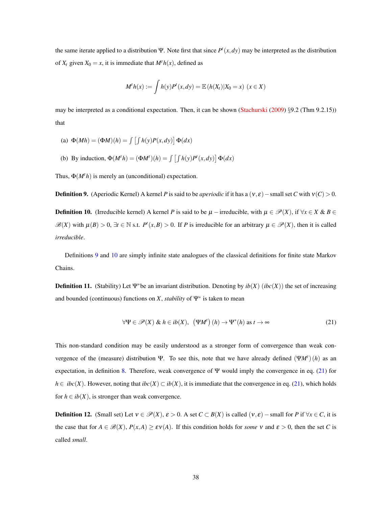the same iterate applied to a distribution  $\Psi$ . Note first that since  $P^t(x, dy)$  may be interpreted as the distribution of  $X_t$  given  $X_0 = x$ , it is immediate that  $M^t h(x)$ , defined as

$$
M^{t}h(x) := \int h(y)P^{t}(x, dy) = \mathbb{E}(h(X_{t})|X_{0} = x) \ (x \in X)
$$

may be interpreted as a conditional expectation. Then, it can be shown [\(Stachurski](#page-35-9) [\(2009\)](#page-35-9) §9.2 (Thm 9.2.15)) that

- (a)  $\Phi(Mh) = (\Phi M)(h) = \int \left[ \int h(y)P(x, dy) \right] \Phi(dx)$
- (b) By induction,  $\Phi(M^t h) = (\Phi M^t)(h) = \int \left[ \int h(y) P^t(x, dy) \right] \Phi(dx)$

Thus,  $\Phi(M^t h)$  is merely an (unconditional) expectation.

<span id="page-38-1"></span>**Definition 9.** (Aperiodic Kernel) A kernel *P* is said to be *aperiodic* if it has a  $(v, \varepsilon)$  – small set *C* with  $v(C) > 0$ .

<span id="page-38-2"></span>**Definition 10.** (Irreducible kernel) A kernel *P* is said to be  $\mu$  – irreducible, with  $\mu \in \mathcal{P}(X)$ , if  $\forall x \in X \& B \in$  $\mathscr{B}(X)$  with  $\mu(B) > 0$ ,  $\exists t \in \mathbb{N}$  s.t.  $P^t(x, B) > 0$ . If *P* is irreducible for an arbitrary  $\mu \in \mathscr{P}(X)$ , then it is called *irreducible*.

Definitions [9](#page-38-1) and [10](#page-38-2) are simply infinite state analogues of the classical definitions for finite state Markov Chains.

**Definition 11.** (Stability) Let  $\Psi^*$ be an invariant distribution. Denoting by  $ib(X)$  ( $ibc(X)$ ) the set of increasing and bounded (continuous) functions on *X*, *stability* of  $\Psi^*$  is taken to mean

<span id="page-38-3"></span>
$$
\forall \Psi \in \mathscr{P}(X) \& h \in ib(X), \ \left(\Psi M^t\right)(h) \to \Psi^*(h) \text{ as } t \to \infty \tag{21}
$$

This non-standard condition may be easily understood as a stronger form of convergence than weak convergence of the (measure) distribution Ψ. To see this, note that we have already defined (Ψ*M<sup>t</sup>* ) (*h*) as an expectation, in definition [8.](#page-37-2) Therefore, weak convergence of Ψ would imply the convergence in eq. [\(21\)](#page-38-3) for *h* ∈ *ibc*(*X*). However, noting that *ibc*(*X*) ⊂ *ib*(*X*), it is immediate that the convergence in eq. [\(21\)](#page-38-3), which holds for  $h \in ib(X)$ , is stronger than weak convergence.

<span id="page-38-0"></span>**Definition 12.** (Small set) Let  $v \in \mathcal{P}(X)$ ,  $\varepsilon > 0$ . A set  $C \subset B(X)$  is called  $(v, \varepsilon)$  – small for P if  $\forall x \in C$ , it is the case that for  $A \in \mathcal{B}(X)$ ,  $P(x,A) \geq \varepsilon v(A)$ . If this condition holds for *some* v and  $\varepsilon > 0$ , then the set *C* is called *small*.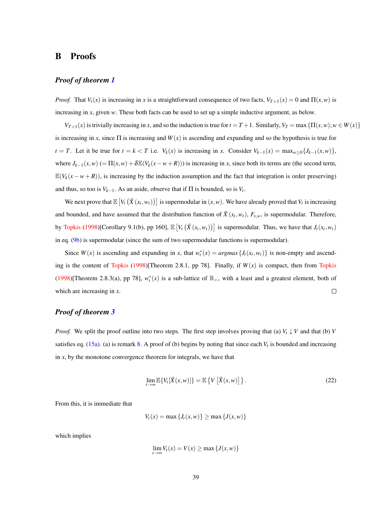## B Proofs

#### *Proof of theorem [1](#page-14-5)*

*Proof.* That  $V_t(x)$  is increasing in *x* is a straightforward consequence of two facts,  $V_{T+1}(x) = 0$  and  $\Pi(x, w)$  is increasing in *x*, given *w*. These both facts can be used to set up a simple inductive argument, as below.

*V*<sub>*T*+1</sub>(*x*) is trivially increasing in *x*, and so the induction is true for  $t = T + 1$ . Similarly,  $V_T = \max{\{\Pi(x, w); w \in W(x)\}}$ is increasing in *x*, since  $\Pi$  is increasing and  $W(x)$  is ascending and expanding and so the hypothesis is true for *t* = *T*. Let it be true for *t* = *k* < *T* i.e. *V<sub>k</sub>*(*x*) is increasing in *x*. Consider *V<sub>k−1</sub>*(*x*) = max<sub>*w*≥0</sub>{*J<sub>k−1</sub>*(*x,w*)}, where  $J_{k-1}(x, w)$  (=  $\Pi(x, w) + \delta \mathbb{E}(V_k(x - w + R))$ ) is increasing in *x*, since both its terms are (the second term,  $\mathbb{E}(V_k(x - w + R))$ , is increasing by the induction assumption and the fact that integration is order preserving) and thus, so too is  $V_{k-1}$ . As an aside, observe that if  $\Pi$  is bounded, so is  $V_t$ .

We next prove that  $\mathbb{E}\left[V_t\left(\tilde{X}(x_t, w_t)\right)\right]$  is supermodular in  $(x, w)$ . We have already proved that  $V_t$  is increasing and bounded, and have assumed that the distribution function of  $\tilde{X}(x_t, w_t)$ ,  $F_{x,w}$ , is supermodular. Therefore, by [Topkis](#page-35-8) [\(1998\)](#page-35-8)[Corollary 9.1(b), pp 160],  $\mathbb{E}\left[V_t\left(\tilde{X}(x_t, w_t)\right)\right]$  is supermodular. Thus, we have that  $J_t(x_t, w_t)$ in eq. [\(9b\)](#page-13-9) is supermodular (since the sum of two supermodular functions is supermodular).

Since  $W(x)$  is ascending and expanding in *x*, that  $w_t^*(x) = argmax\{J_t(x_t, w_t)\}\$ is non-empty and ascend-ing is the content of [Topkis](#page-35-8) [\(1998\)](#page-35-8)[Theorem 2.8.1, pp 78]. Finally, if  $W(x)$  is compact, then from Topkis [\(1998\)](#page-35-8)[Theorem 2.8.3(a), pp 78],  $w_t^*(x)$  is a sub-lattice of  $\mathbb{R}_+$ , with a least and a greatest element, both of which are increasing in *x*.  $\Box$ 

#### *Proof of theorem [3](#page-22-2)*

*Proof.* We split the proof outline into two steps. The first step involves proving that (a)  $V_t \downarrow V$  and that (b) *V* satisfies eq.  $(15a)$ . (a) is remark [8.](#page-21-3) A proof of (b) begins by noting that since each  $V_t$  is bounded and increasing in *x*, by the monotone convergence theorem for integrals, we have that

<span id="page-39-0"></span>
$$
\lim_{t \to \infty} \mathbb{E}\{V_t[\tilde{X}(x,w)]\} = \mathbb{E}\left\{V\left[\tilde{X}(x,w)\right]\right\}.
$$
\n(22)

From this, it is immediate that

$$
V_t(x) = \max \{J_t(x, w)\} \ge \max \{J(x, w)\}
$$

which implies

$$
\lim_{t \to \infty} V_t(x) = V(x) \ge \max \{ J(x, w) \}
$$